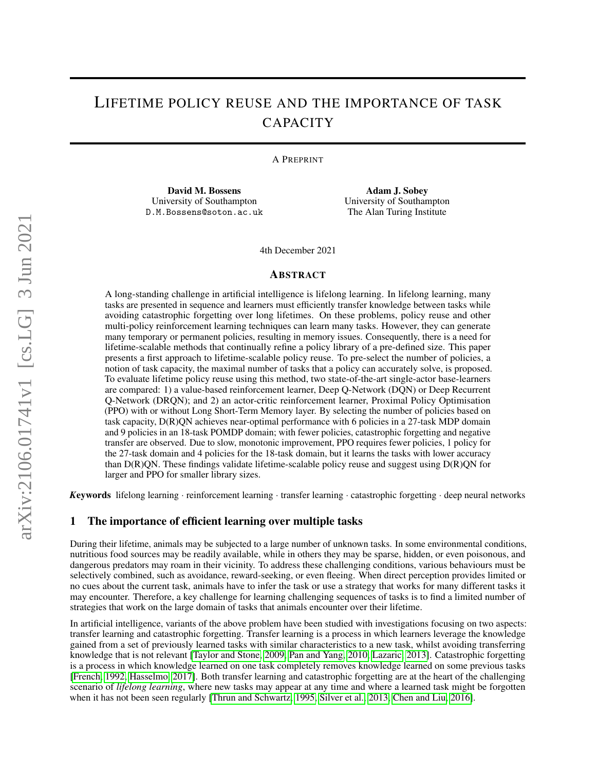# LIFETIME POLICY REUSE AND THE IMPORTANCE OF TASK **CAPACITY**

A PREPRINT

David M. Bossens University of Southampton D.M.Bossens@soton.ac.uk

Adam J. Sobey University of Southampton The Alan Turing Institute

4th December 2021

#### ABSTRACT

A long-standing challenge in artificial intelligence is lifelong learning. In lifelong learning, many tasks are presented in sequence and learners must efficiently transfer knowledge between tasks while avoiding catastrophic forgetting over long lifetimes. On these problems, policy reuse and other multi-policy reinforcement learning techniques can learn many tasks. However, they can generate many temporary or permanent policies, resulting in memory issues. Consequently, there is a need for lifetime-scalable methods that continually refine a policy library of a pre-defined size. This paper presents a first approach to lifetime-scalable policy reuse. To pre-select the number of policies, a notion of task capacity, the maximal number of tasks that a policy can accurately solve, is proposed. To evaluate lifetime policy reuse using this method, two state-of-the-art single-actor base-learners are compared: 1) a value-based reinforcement learner, Deep Q-Network (DQN) or Deep Recurrent Q-Network (DRQN); and 2) an actor-critic reinforcement learner, Proximal Policy Optimisation (PPO) with or without Long Short-Term Memory layer. By selecting the number of policies based on task capacity, D(R)QN achieves near-optimal performance with 6 policies in a 27-task MDP domain and 9 policies in an 18-task POMDP domain; with fewer policies, catastrophic forgetting and negative transfer are observed. Due to slow, monotonic improvement, PPO requires fewer policies, 1 policy for the 27-task domain and 4 policies for the 18-task domain, but it learns the tasks with lower accuracy than  $D(R)$ QN. These findings validate lifetime-scalable policy reuse and suggest using  $D(R)$ QN for larger and PPO for smaller library sizes.

*K*eywords lifelong learning · reinforcement learning · transfer learning · catastrophic forgetting · deep neural networks

### 1 The importance of efficient learning over multiple tasks

During their lifetime, animals may be subjected to a large number of unknown tasks. In some environmental conditions, nutritious food sources may be readily available, while in others they may be sparse, hidden, or even poisonous, and dangerous predators may roam in their vicinity. To address these challenging conditions, various behaviours must be selectively combined, such as avoidance, reward-seeking, or even fleeing. When direct perception provides limited or no cues about the current task, animals have to infer the task or use a strategy that works for many different tasks it may encounter. Therefore, a key challenge for learning challenging sequences of tasks is to find a limited number of strategies that work on the large domain of tasks that animals encounter over their lifetime.

In artificial intelligence, variants of the above problem have been studied with investigations focusing on two aspects: transfer learning and catastrophic forgetting. Transfer learning is a process in which learners leverage the knowledge gained from a set of previously learned tasks with similar characteristics to a new task, whilst avoiding transferring knowledge that is not relevant [\[Taylor and Stone, 2009,](#page-20-0) [Pan and Yang, 2010,](#page-20-1) [Lazaric, 2013\]](#page-21-0). Catastrophic forgetting is a process in which knowledge learned on one task completely removes knowledge learned on some previous tasks [\[French, 1992,](#page-21-1) [Hasselmo, 2017\]](#page-21-2). Both transfer learning and catastrophic forgetting are at the heart of the challenging scenario of *lifelong learning*, where new tasks may appear at any time and where a learned task might be forgotten when it has not been seen regularly [\[Thrun and Schwartz, 1995,](#page-21-3) [Silver et al., 2013,](#page-21-4) [Chen and Liu, 2016\]](#page-21-5).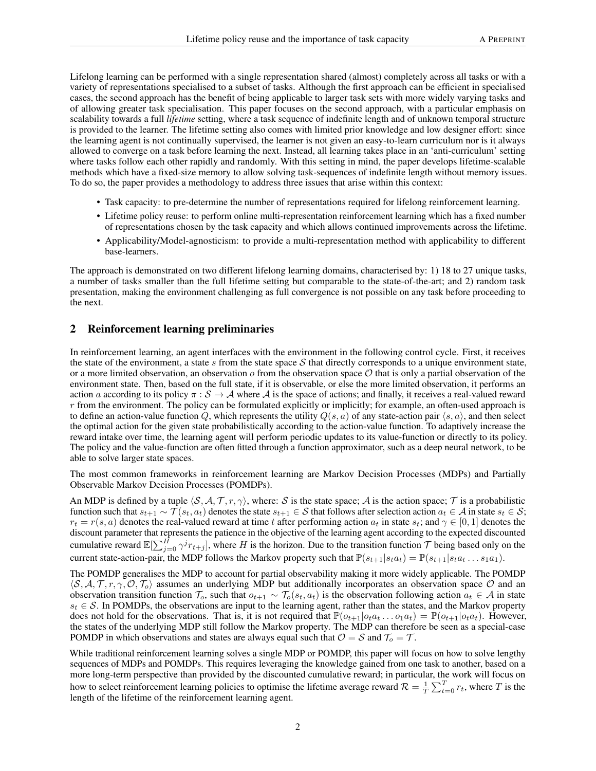Lifelong learning can be performed with a single representation shared (almost) completely across all tasks or with a variety of representations specialised to a subset of tasks. Although the first approach can be efficient in specialised cases, the second approach has the benefit of being applicable to larger task sets with more widely varying tasks and of allowing greater task specialisation. This paper focuses on the second approach, with a particular emphasis on scalability towards a full *lifetime* setting, where a task sequence of indefinite length and of unknown temporal structure is provided to the learner. The lifetime setting also comes with limited prior knowledge and low designer effort: since the learning agent is not continually supervised, the learner is not given an easy-to-learn curriculum nor is it always allowed to converge on a task before learning the next. Instead, all learning takes place in an 'anti-curriculum' setting where tasks follow each other rapidly and randomly. With this setting in mind, the paper develops lifetime-scalable methods which have a fixed-size memory to allow solving task-sequences of indefinite length without memory issues. To do so, the paper provides a methodology to address three issues that arise within this context:

- Task capacity: to pre-determine the number of representations required for lifelong reinforcement learning.
- Lifetime policy reuse: to perform online multi-representation reinforcement learning which has a fixed number of representations chosen by the task capacity and which allows continued improvements across the lifetime.
- Applicability/Model-agnosticism: to provide a multi-representation method with applicability to different base-learners.

The approach is demonstrated on two different lifelong learning domains, characterised by: 1) 18 to 27 unique tasks, a number of tasks smaller than the full lifetime setting but comparable to the state-of-the-art; and 2) random task presentation, making the environment challenging as full convergence is not possible on any task before proceeding to the next.

# 2 Reinforcement learning preliminaries

In reinforcement learning, an agent interfaces with the environment in the following control cycle. First, it receives the state of the environment, a state s from the state space  $S$  that directly corresponds to a unique environment state, or a more limited observation, an observation  $\sigma$  from the observation space  $\mathcal O$  that is only a partial observation of the environment state. Then, based on the full state, if it is observable, or else the more limited observation, it performs an action a according to its policy  $\pi : \mathcal{S} \to \mathcal{A}$  where  $\mathcal{A}$  is the space of actions; and finally, it receives a real-valued reward  $r$  from the environment. The policy can be formulated explicitly or implicitly; for example, an often-used approach is to define an action-value function Q, which represents the utility  $Q(s, a)$  of any state-action pair  $\langle s, a \rangle$ , and then select the optimal action for the given state probabilistically according to the action-value function. To adaptively increase the reward intake over time, the learning agent will perform periodic updates to its value-function or directly to its policy. The policy and the value-function are often fitted through a function approximator, such as a deep neural network, to be able to solve larger state spaces.

The most common frameworks in reinforcement learning are Markov Decision Processes (MDPs) and Partially Observable Markov Decision Processes (POMDPs).

An MDP is defined by a tuple  $\langle S, A, T, r, \gamma \rangle$ , where: S is the state space; A is the action space; T is a probabilistic function such that  $s_{t+1} \sim \mathcal{T}(s_t, a_t)$  denotes the state  $s_{t+1} \in \mathcal{S}$  that follows after selection action  $a_t \in \mathcal{A}$  in state  $s_t \in \mathcal{S}$ ;  $r_t = r(s, a)$  denotes the real-valued reward at time t after performing action  $a_t$  in state  $s_t$ ; and  $\gamma \in [0, 1]$  denotes the discount parameter that represents the patience in the objective of the learning agent according to the expected discounted cumulative reward  $\mathbb{E}[\sum_{j=0}^H \gamma^j r_{t+j}]$ , where H is the horizon. Due to the transition function T being based only on the current state-action-pair, the MDP follows the Markov property such that  $\mathbb{P}(s_{t+1}|s_{t}a_{t}) = \mathbb{P}(s_{t+1}|s_{t}a_{t} \dots s_{1}a_{1}).$ 

The POMDP generalises the MDP to account for partial observability making it more widely applicable. The POMDP  $\langle S, A, T, r, \gamma, O, T_o \rangle$  assumes an underlying MDP but additionally incorporates an observation space O and an observation transition function  $\mathcal{T}_o$ , such that  $o_{t+1} \sim \mathcal{T}_o(s_t, a_t)$  is the observation following action  $a_t \in \mathcal{A}$  in state  $s_t \in S$ . In POMDPs, the observations are input to the learning agent, rather than the states, and the Markov property does not hold for the observations. That is, it is not required that  $\mathbb{P}(o_{t+1}|o_t a_t \dots o_1 a_t) = \mathbb{P}(o_{t+1}|o_t a_t)$ . However, the states of the underlying MDP still follow the Markov property. The MDP can therefore be seen as a special-case POMDP in which observations and states are always equal such that  $\mathcal{O} = \mathcal{S}$  and  $\mathcal{T}_o = \mathcal{T}$ .

While traditional reinforcement learning solves a single MDP or POMDP, this paper will focus on how to solve lengthy sequences of MDPs and POMDPs. This requires leveraging the knowledge gained from one task to another, based on a more long-term perspective than provided by the discounted cumulative reward; in particular, the work will focus on how to select reinforcement learning policies to optimise the lifetime average reward  $\mathcal{R} = \frac{1}{T} \sum_{t=0}^{T} r_t$ , where T is the length of the lifetime of the reinforcement learning agent.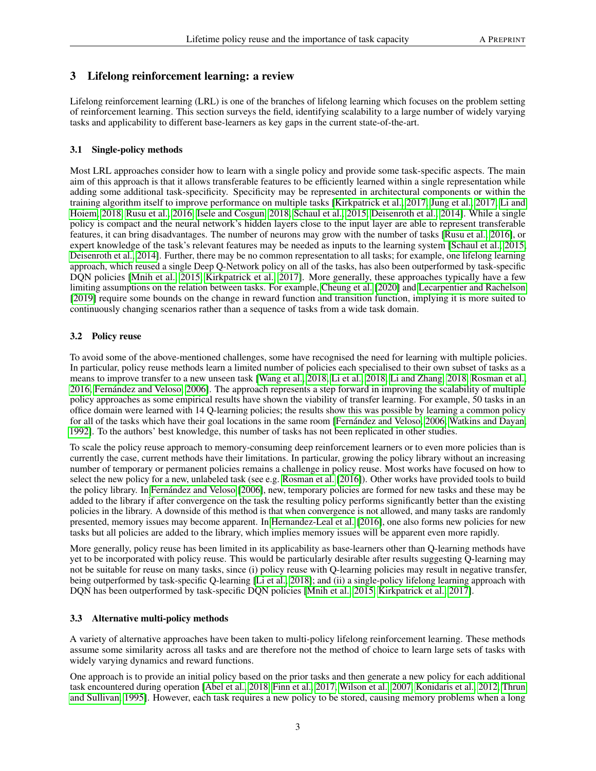# 3 Lifelong reinforcement learning: a review

Lifelong reinforcement learning (LRL) is one of the branches of lifelong learning which focuses on the problem setting of reinforcement learning. This section surveys the field, identifying scalability to a large number of widely varying tasks and applicability to different base-learners as key gaps in the current state-of-the-art.

# 3.1 Single-policy methods

Most LRL approaches consider how to learn with a single policy and provide some task-specific aspects. The main aim of this approach is that it allows transferable features to be efficiently learned within a single representation while adding some additional task-specificity. Specificity may be represented in architectural components or within the training algorithm itself to improve performance on multiple tasks [\[Kirkpatrick et al., 2017,](#page-21-6) [Jung et al., 2017,](#page-21-7) [Li and](#page-21-8) [Hoiem, 2018,](#page-21-8) [Rusu et al., 2016,](#page-21-9) [Isele and Cosgun, 2018,](#page-21-10) [Schaul et al., 2015,](#page-21-11) [Deisenroth et al., 2014\]](#page-21-12). While a single policy is compact and the neural network's hidden layers close to the input layer are able to represent transferable features, it can bring disadvantages. The number of neurons may grow with the number of tasks [\[Rusu et al., 2016\]](#page-21-9), or expert knowledge of the task's relevant features may be needed as inputs to the learning system [\[Schaul et al., 2015,](#page-21-11) [Deisenroth et al., 2014\]](#page-21-12). Further, there may be no common representation to all tasks; for example, one lifelong learning approach, which reused a single Deep Q-Network policy on all of the tasks, has also been outperformed by task-specific DQN policies [\[Mnih et al., 2015,](#page-21-13) [Kirkpatrick et al., 2017\]](#page-21-6). More generally, these approaches typically have a few limiting assumptions on the relation between tasks. For example, [Cheung et al.](#page-21-14) [\[2020\]](#page-21-14) and [Lecarpentier and Rachelson](#page-21-15) [\[2019\]](#page-21-15) require some bounds on the change in reward function and transition function, implying it is more suited to continuously changing scenarios rather than a sequence of tasks from a wide task domain.

# 3.2 Policy reuse

To avoid some of the above-mentioned challenges, some have recognised the need for learning with multiple policies. In particular, policy reuse methods learn a limited number of policies each specialised to their own subset of tasks as a means to improve transfer to a new unseen task [\[Wang et al., 2018,](#page-21-16) [Li et al., 2018,](#page-21-17) [Li and Zhang, 2018,](#page-21-18) [Rosman et al.,](#page-21-19) [2016,](#page-21-19) [Fernández and Veloso, 2006\]](#page-21-20). The approach represents a step forward in improving the scalability of multiple policy approaches as some empirical results have shown the viability of transfer learning. For example, 50 tasks in an office domain were learned with 14 Q-learning policies; the results show this was possible by learning a common policy for all of the tasks which have their goal locations in the same room [\[Fernández and Veloso, 2006,](#page-21-20) [Watkins and Dayan,](#page-22-0) [1992\]](#page-22-0). To the authors' best knowledge, this number of tasks has not been replicated in other studies.

To scale the policy reuse approach to memory-consuming deep reinforcement learners or to even more policies than is currently the case, current methods have their limitations. In particular, growing the policy library without an increasing number of temporary or permanent policies remains a challenge in policy reuse. Most works have focused on how to select the new policy for a new, unlabeled task (see e.g. [Rosman et al.](#page-21-19) [\[2016\]](#page-21-19)). Other works have provided tools to build the policy library. In [Fernández and Veloso](#page-21-20) [\[2006\]](#page-21-20), new, temporary policies are formed for new tasks and these may be added to the library if after convergence on the task the resulting policy performs significantly better than the existing policies in the library. A downside of this method is that when convergence is not allowed, and many tasks are randomly presented, memory issues may become apparent. In [Hernandez-Leal et al.](#page-22-1) [\[2016\]](#page-22-1), one also forms new policies for new tasks but all policies are added to the library, which implies memory issues will be apparent even more rapidly.

More generally, policy reuse has been limited in its applicability as base-learners other than Q-learning methods have yet to be incorporated with policy reuse. This would be particularly desirable after results suggesting Q-learning may not be suitable for reuse on many tasks, since (i) policy reuse with Q-learning policies may result in negative transfer, being outperformed by task-specific Q-learning [\[Li et al., 2018\]](#page-21-17); and (ii) a single-policy lifelong learning approach with DQN has been outperformed by task-specific DQN policies [\[Mnih et al., 2015,](#page-21-13) [Kirkpatrick et al., 2017\]](#page-21-6).

### 3.3 Alternative multi-policy methods

A variety of alternative approaches have been taken to multi-policy lifelong reinforcement learning. These methods assume some similarity across all tasks and are therefore not the method of choice to learn large sets of tasks with widely varying dynamics and reward functions.

One approach is to provide an initial policy based on the prior tasks and then generate a new policy for each additional task encountered during operation [\[Abel et al., 2018,](#page-22-2) [Finn et al., 2017,](#page-22-3) [Wilson et al., 2007,](#page-22-4) [Konidaris et al., 2012,](#page-22-5) [Thrun](#page-22-6) [and Sullivan, 1995\]](#page-22-6). However, each task requires a new policy to be stored, causing memory problems when a long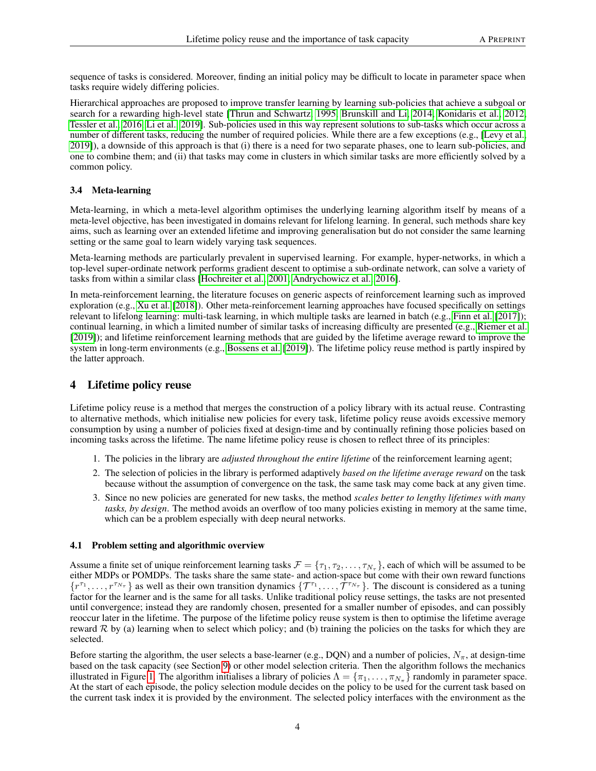sequence of tasks is considered. Moreover, finding an initial policy may be difficult to locate in parameter space when tasks require widely differing policies.

Hierarchical approaches are proposed to improve transfer learning by learning sub-policies that achieve a subgoal or search for a rewarding high-level state [\[Thrun and Schwartz, 1995,](#page-21-3) [Brunskill and Li, 2014,](#page-22-7) [Konidaris et al., 2012,](#page-22-5) [Tessler et al., 2016,](#page-22-8) [Li et al., 2019\]](#page-22-9). Sub-policies used in this way represent solutions to sub-tasks which occur across a number of different tasks, reducing the number of required policies. While there are a few exceptions (e.g., [\[Levy et al.,](#page-22-10) [2019\]](#page-22-10)), a downside of this approach is that (i) there is a need for two separate phases, one to learn sub-policies, and one to combine them; and (ii) that tasks may come in clusters in which similar tasks are more efficiently solved by a common policy.

# 3.4 Meta-learning

Meta-learning, in which a meta-level algorithm optimises the underlying learning algorithm itself by means of a meta-level objective, has been investigated in domains relevant for lifelong learning. In general, such methods share key aims, such as learning over an extended lifetime and improving generalisation but do not consider the same learning setting or the same goal to learn widely varying task sequences.

Meta-learning methods are particularly prevalent in supervised learning. For example, hyper-networks, in which a top-level super-ordinate network performs gradient descent to optimise a sub-ordinate network, can solve a variety of tasks from within a similar class [\[Hochreiter et al., 2001,](#page-22-11) [Andrychowicz et al., 2016\]](#page-22-12).

In meta-reinforcement learning, the literature focuses on generic aspects of reinforcement learning such as improved exploration (e.g., [Xu et al.](#page-22-13) [\[2018\]](#page-22-13)). Other meta-reinforcement learning approaches have focused specifically on settings relevant to lifelong learning: multi-task learning, in which multiple tasks are learned in batch (e.g., [Finn et al.](#page-22-3) [\[2017\]](#page-22-3)); continual learning, in which a limited number of similar tasks of increasing difficulty are presented (e.g., [Riemer et al.](#page-22-14) [\[2019\]](#page-22-14)); and lifetime reinforcement learning methods that are guided by the lifetime average reward to improve the system in long-term environments (e.g., [Bossens et al.](#page-22-15) [\[2019\]](#page-22-15)). The lifetime policy reuse method is partly inspired by the latter approach.

# 4 Lifetime policy reuse

Lifetime policy reuse is a method that merges the construction of a policy library with its actual reuse. Contrasting to alternative methods, which initialise new policies for every task, lifetime policy reuse avoids excessive memory consumption by using a number of policies fixed at design-time and by continually refining those policies based on incoming tasks across the lifetime. The name lifetime policy reuse is chosen to reflect three of its principles:

- 1. The policies in the library are *adjusted throughout the entire lifetime* of the reinforcement learning agent;
- 2. The selection of policies in the library is performed adaptively *based on the lifetime average reward* on the task because without the assumption of convergence on the task, the same task may come back at any given time.
- 3. Since no new policies are generated for new tasks, the method *scales better to lengthy lifetimes with many tasks, by design*. The method avoids an overflow of too many policies existing in memory at the same time, which can be a problem especially with deep neural networks.

### 4.1 Problem setting and algorithmic overview

Assume a finite set of unique reinforcement learning tasks  $\mathcal{F} = \{\tau_1, \tau_2, \dots, \tau_{N_\tau}\}\)$ , each of which will be assumed to be either MDPs or POMDPs. The tasks share the same state- and action-space but come with their own reward functions  $\{r^{\tau_1}, \ldots, r^{\tau_{N_{\tau}}}\}\$  as well as their own transition dynamics  $\{\mathcal{T}^{\tau_1}, \ldots, \mathcal{T}^{\tau_{N_{\tau}}}\}\$ . The discount is considered as a tuning factor for the learner and is the same for all tasks. Unlike traditional policy reuse settings, the tasks are not presented until convergence; instead they are randomly chosen, presented for a smaller number of episodes, and can possibly reoccur later in the lifetime. The purpose of the lifetime policy reuse system is then to optimise the lifetime average reward  $R$  by (a) learning when to select which policy; and (b) training the policies on the tasks for which they are selected.

Before starting the algorithm, the user selects a base-learner (e.g., DQN) and a number of policies,  $N_{\pi}$ , at design-time based on the task capacity (see Section [9\)](#page-16-0) or other model selection criteria. Then the algorithm follows the mechanics illustrated in Figure [1.](#page-4-0) The algorithm initialises a library of policies  $\Lambda = {\pi_1, \dots, \pi_{N_{\pi}}}$  randomly in parameter space. At the start of each episode, the policy selection module decides on the policy to be used for the current task based on the current task index it is provided by the environment. The selected policy interfaces with the environment as the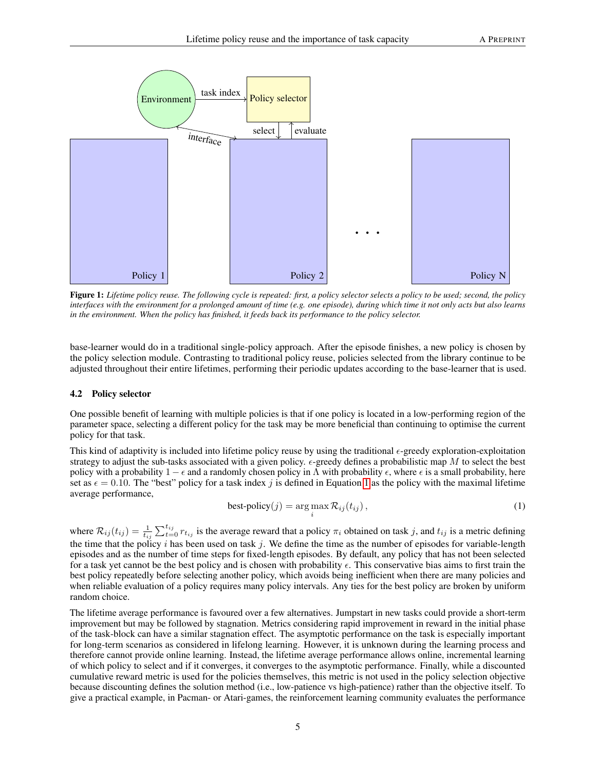<span id="page-4-0"></span>

Figure 1: *Lifetime policy reuse. The following cycle is repeated: first, a policy selector selects a policy to be used; second, the policy interfaces with the environment for a prolonged amount of time (e.g. one episode), during which time it not only acts but also learns in the environment. When the policy has finished, it feeds back its performance to the policy selector.*

base-learner would do in a traditional single-policy approach. After the episode finishes, a new policy is chosen by the policy selection module. Contrasting to traditional policy reuse, policies selected from the library continue to be adjusted throughout their entire lifetimes, performing their periodic updates according to the base-learner that is used.

#### <span id="page-4-2"></span>4.2 Policy selector

One possible benefit of learning with multiple policies is that if one policy is located in a low-performing region of the parameter space, selecting a different policy for the task may be more beneficial than continuing to optimise the current policy for that task.

This kind of adaptivity is included into lifetime policy reuse by using the traditional  $\epsilon$ -greedy exploration-exploitation strategy to adjust the sub-tasks associated with a given policy.  $\epsilon$ -greedy defines a probabilistic map M to select the best policy with a probability  $1 - \epsilon$  and a randomly chosen policy in  $\Lambda$  with probability  $\epsilon$ , where  $\epsilon$  is a small probability, here set as  $\epsilon = 0.10$ . The "best" policy for a task index j is defined in Equation [1](#page-4-1) as the policy with the maximal lifetime average performance,

<span id="page-4-1"></span>
$$
\text{best-policy}(j) = \arg\max_{i} \mathcal{R}_{ij}(t_{ij}),\tag{1}
$$

where  $\mathcal{R}_{ij}(t_{ij}) = \frac{1}{t_{ij}} \sum_{t=0}^{t_{ij}} r_{t_{ij}}$  is the average reward that a policy  $\pi_i$  obtained on task j, and  $t_{ij}$  is a metric defining the time that the policy i has been used on task j. We define the time as the number of episodes for variable-length episodes and as the number of time steps for fixed-length episodes. By default, any policy that has not been selected for a task yet cannot be the best policy and is chosen with probability  $\epsilon$ . This conservative bias aims to first train the best policy repeatedly before selecting another policy, which avoids being inefficient when there are many policies and when reliable evaluation of a policy requires many policy intervals. Any ties for the best policy are broken by uniform random choice.

The lifetime average performance is favoured over a few alternatives. Jumpstart in new tasks could provide a short-term improvement but may be followed by stagnation. Metrics considering rapid improvement in reward in the initial phase of the task-block can have a similar stagnation effect. The asymptotic performance on the task is especially important for long-term scenarios as considered in lifelong learning. However, it is unknown during the learning process and therefore cannot provide online learning. Instead, the lifetime average performance allows online, incremental learning of which policy to select and if it converges, it converges to the asymptotic performance. Finally, while a discounted cumulative reward metric is used for the policies themselves, this metric is not used in the policy selection objective because discounting defines the solution method (i.e., low-patience vs high-patience) rather than the objective itself. To give a practical example, in Pacman- or Atari-games, the reinforcement learning community evaluates the performance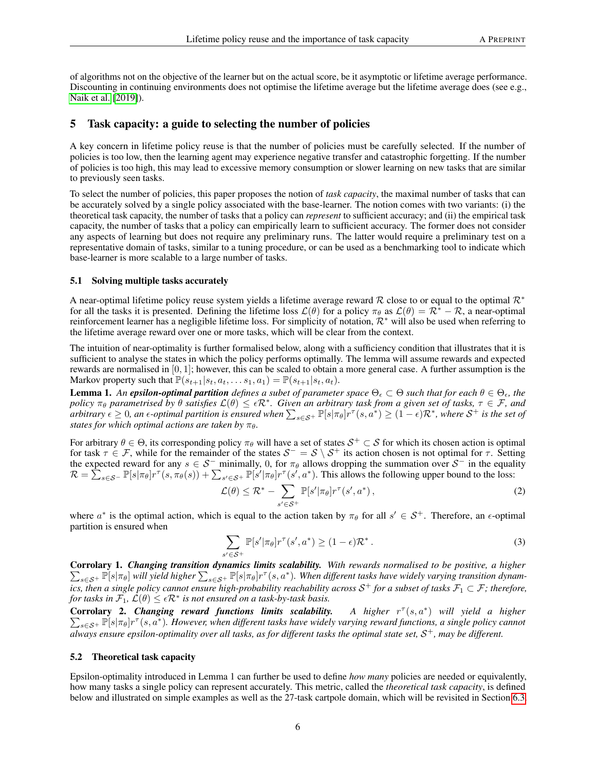of algorithms not on the objective of the learner but on the actual score, be it asymptotic or lifetime average performance. Discounting in continuing environments does not optimise the lifetime average but the lifetime average does (see e.g., [Naik et al.](#page-22-16) [\[2019\]](#page-22-16)).

# <span id="page-5-0"></span>5 Task capacity: a guide to selecting the number of policies

A key concern in lifetime policy reuse is that the number of policies must be carefully selected. If the number of policies is too low, then the learning agent may experience negative transfer and catastrophic forgetting. If the number of policies is too high, this may lead to excessive memory consumption or slower learning on new tasks that are similar to previously seen tasks.

To select the number of policies, this paper proposes the notion of *task capacity*, the maximal number of tasks that can be accurately solved by a single policy associated with the base-learner. The notion comes with two variants: (i) the theoretical task capacity, the number of tasks that a policy can *represent* to sufficient accuracy; and (ii) the empirical task capacity, the number of tasks that a policy can empirically learn to sufficient accuracy. The former does not consider any aspects of learning but does not require any preliminary runs. The latter would require a preliminary test on a representative domain of tasks, similar to a tuning procedure, or can be used as a benchmarking tool to indicate which base-learner is more scalable to a large number of tasks.

#### 5.1 Solving multiple tasks accurately

A near-optimal lifetime policy reuse system yields a lifetime average reward R close to or equal to the optimal  $\mathcal{R}^*$ for all the tasks it is presented. Defining the lifetime loss  $\mathcal{L}(\theta)$  for a policy  $\pi_{\theta}$  as  $\mathcal{L}(\theta) = \mathcal{R}^* - \mathcal{R}$ , a near-optimal reinforcement learner has a negligible lifetime loss. For simplicity of notation,  $\mathcal{R}^*$  will also be used when referring to the lifetime average reward over one or more tasks, which will be clear from the context.

The intuition of near-optimality is further formalised below, along with a sufficiency condition that illustrates that it is sufficient to analyse the states in which the policy performs optimally. The lemma will assume rewards and expected rewards are normalised in [0, 1]; however, this can be scaled to obtain a more general case. A further assumption is the Markov property such that  $\mathbb{P}(s_{t+1}|s_t, a_t, \ldots s_1, a_1) = \mathbb{P}(s_{t+1}|s_t, a_t)$ .

**Lemma 1.** An **epsilon-optimal partition** defines a subet of parameter space  $\Theta_{\epsilon} \subset \Theta$  such that for each  $\theta \in \Theta_{\epsilon}$ , the *policy*  $\pi_\theta$  *parametrised by*  $\theta$  *satisfies*  $\mathcal{L}(\theta) \leq \epsilon \mathcal{R}^*$ . Given an arbitrary task from a given set of tasks,  $\tau \in \mathcal{F}$ , and  $a$ rbitrary  $\epsilon \geq 0$ , an  $\epsilon$ -optimal partition is ensured when  $\sum_{s\in\mathcal{S}^+}\mathbb{P}[s|\pi_\theta]r^\tau(s,a^*)\geq (1-\epsilon)\mathcal{R}^*$ , where  $\mathcal{S}^+$  is the set of *states for which optimal actions are taken by*  $\pi_{\theta}$ *.* 

For arbitrary  $\theta \in \Theta$ , its corresponding policy  $\pi_\theta$  will have a set of states  $\mathcal{S}^+ \subset \mathcal{S}$  for which its chosen action is optimal for task  $\tau \in \mathcal{F}$ , while for the remainder of the states  $\mathcal{S}^- = \mathcal{S} \setminus \mathcal{S}^+$  its action chosen is not optimal for  $\tau$ . Setting the expected reward for any  $s \in S^-$  minimally, 0, for  $\pi_\theta$  allows dropping the summation over  $S^-$  in the equality  $\mathcal{R} = \sum_{s \in \mathcal{S}^-} \mathbb{P}[s | \pi_\theta] r^\tau(s, \pi_\theta(s)) + \sum_{s' \in \mathcal{S}^+} \mathbb{P}[s' | \pi_\theta] r^\tau(s', a^*)$ . This allows the following upper bound to the loss:

$$
\mathcal{L}(\theta) \leq \mathcal{R}^* - \sum_{s' \in \mathcal{S}^+} \mathbb{P}[s' | \pi_\theta] r^\tau(s', a^*), \tag{2}
$$

where  $a^*$  is the optimal action, which is equal to the action taken by  $\pi_\theta$  for all  $s' \in S^+$ . Therefore, an  $\epsilon$ -optimal partition is ensured when

$$
\sum_{s' \in \mathcal{S}^+} \mathbb{P}[s' | \pi_{\theta}] r^{\tau}(s', a^*) \ge (1 - \epsilon) \mathcal{R}^*.
$$
 (3)

Corrolary 1. *Changing transition dynamics limits scalability. With rewards normalised to be positive, a higher*  $\sum_{s\in\mathcal{S}^+}\mathbb{P}[s|\pi_\theta]$  will yield higher  $\sum_{s\in\mathcal{S}^+}\mathbb{P}[s|\pi_\theta]r^\tau(s,a^*)$ . When different tasks have widely varying transition dynamics, then a single policy cannot ensure high-probability reachability across  $\mathcal{S}^+$  for a subset of tasks  $\mathcal{F}_1\subset\mathcal{F}$ ; therefore, *for tasks in*  $\mathcal{F}_1$ ,  $\mathcal{L}(\theta) \leq \epsilon \mathcal{R}^*$  *is not ensured on a task-by-task basis.* 

**Corrolary 2. Changing reward functions limits scalability.** A higher  $r^{\tau}(s, a^*)$  $\sum$ ) *will yield a higher*  $_{s\in S^+}$   $\mathbb{P}[s|\pi_\theta]r^\tau(s,a^*)$ . However, when different tasks have widely varying reward functions, a single policy cannot always ensure epsilon-optimality over all tasks, as for different tasks the optimal state set,  $\mathcal{S}^+$ , may be different.

#### 5.2 Theoretical task capacity

Epsilon-optimality introduced in Lemma 1 can further be used to define *how many* policies are needed or equivalently, how many tasks a single policy can represent accurately. This metric, called the *theoretical task capacity*, is defined below and illustrated on simple examples as well as the 27-task cartpole domain, which will be revisited in Section [6.3.](#page-10-0)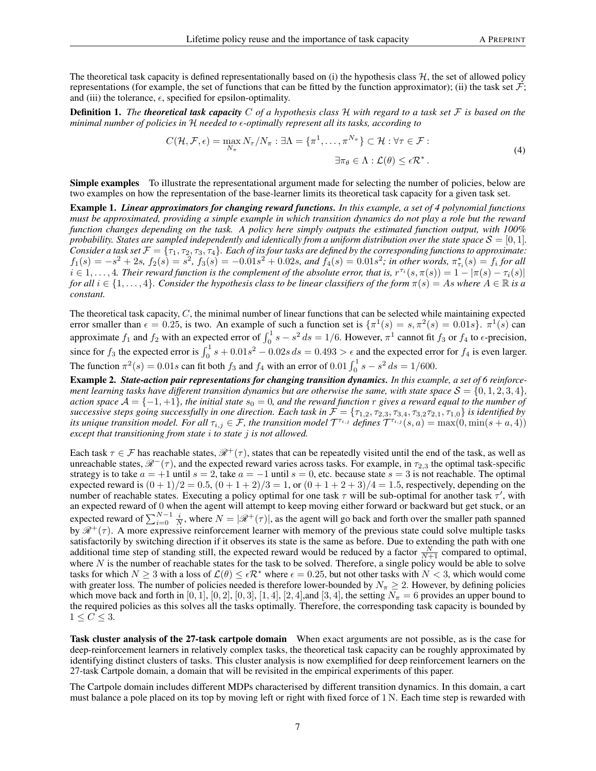The theoretical task capacity is defined representationally based on (i) the hypothesis class  $H$ , the set of allowed policy representations (for example, the set of functions that can be fitted by the function approximator); (ii) the task set  $\mathcal{F}$ ; and (iii) the tolerance,  $\epsilon$ , specified for epsilon-optimality.

Definition 1. *The theoretical task capacity* C *of a hypothesis class* H *with regard to a task set* F *is based on the minimal number of policies in* H *needed to -optimally represent all its tasks, according to*

$$
C(\mathcal{H}, \mathcal{F}, \epsilon) = \max_{N_{\pi}} N_{\tau}/N_{\pi} : \exists \Lambda = \{\pi^1, \dots, \pi^{N_{\pi}}\} \subset \mathcal{H} : \forall \tau \in \mathcal{F} :
$$
  

$$
\exists \pi_{\theta} \in \Lambda : \mathcal{L}(\theta) \leq \epsilon \mathcal{R}^*.
$$
 (4)

Simple examples To illustrate the representational argument made for selecting the number of policies, below are two examples on how the representation of the base-learner limits its theoretical task capacity for a given task set.

Example 1. *Linear approximators for changing reward functions. In this example, a set of 4 polynomial functions must be approximated, providing a simple example in which transition dynamics do not play a role but the reward function changes depending on the task. A policy here simply outputs the estimated function output, with 100% probability. States are sampled independently and identically from a uniform distribution over the state space*  $S = [0, 1]$ *. Consider a task set*  $\mathcal{F} = \{\tau_1, \tau_2, \tau_3, \tau_4\}$ *. Each of its four tasks are defined by the corresponding functions to approximate:*  $f_1(s) = -s^2 + 2s$ ,  $f_2(s) = s^2$ ,  $f_3(s) = -0.01s^2 + 0.02s$ , and  $f_4(s) = 0.01s^2$ ; in other words,  $\pi_{\tau_i}^*(s) = f_i$  for all  $i \in 1,\ldots,4$ . Their reward function is the complement of the absolute error, that is,  $r^{\tau_i}(s,\pi(s)) = 1 - |\pi(s) - \tau_i(s)|$ *for all*  $i \in \{1, \ldots, 4\}$ *. Consider the hypothesis class to be linear classifiers of the form*  $\pi(s) = As$  where  $A \in \mathbb{R}$  *is a constant.*

The theoretical task capacity,  $C$ , the minimal number of linear functions that can be selected while maintaining expected error smaller than  $\epsilon = 0.25$ , is two. An example of such a function set is  $\{\pi^1(s) = s, \pi^2(s) = 0.01s\}$ .  $\pi^1(s)$  can approximate  $f_1$  and  $f_2$  with an expected error of  $\int_0^1 s - s^2 ds = 1/6$ . However,  $\pi^1$  cannot fit  $f_3$  or  $f_4$  to  $\epsilon$ -precision, since for  $f_3$  the expected error is  $\int_0^1 s + 0.01s^2 - 0.02s ds = 0.493 > \epsilon$  and the expected error for  $f_4$  is even larger. The function  $\pi^2(s) = 0.01s$  can fit both  $f_3$  and  $f_4$  with an error of  $0.01 \int_0^1 s - s^2 ds = 1/600$ .

Example 2. *State-action pair representations for changing transition dynamics. In this example, a set of 6 reinforcement learning tasks have different transition dynamics but are otherwise the same, with state space*  $S = \{0, 1, 2, 3, 4\}$ , *action space*  $A = \{-1, +1\}$ *, the initial state*  $s_0 = 0$ *, and the reward function* r *gives a reward equal to the number of successive steps going successfully in one direction. Each task in*  $\mathcal{F} = \{\tau_{1,2}, \tau_{2,3}, \tau_{3,4}, \tau_{3,2}\tau_{2,1}, \tau_{1,0}\}\$ is identified by its unique transition model. For all  $\tau_{i,j}\in\mathcal{F}$ , the transition model  $\mathcal{T}^{\tau_{i,j}}$  defines  $\widetilde{\mathcal{T}}^{\tau_{i,j}}(s,a)=\max(0,\min(s+a,4))$ *except that transitioning from state* i *to state* j *is not allowed.*

Each task  $\tau \in \mathcal{F}$  has reachable states,  $\mathcal{R}^+(\tau)$ , states that can be repeatedly visited until the end of the task, as well as unreachable states,  $\mathcal{R}^{-}(\tau)$ , and the expected reward varies across tasks. For example, in  $\tau_{2,3}$  the optimal task-specific strategy is to take  $a = +1$  until  $s = 2$ , take  $a = -1$  until  $s = 0$ , etc. because state  $s = 3$  is not reachable. The optimal expected reward is  $(0 + 1)/2 = 0.5$ ,  $(0 + 1 + 2)/3 = 1$ , or  $(0 + 1 + 2 + 3)/4 = 1.5$ , respectively, depending on the number of reachable states. Executing a policy optimal for one task  $\tau$  will be sub-optimal for another task  $\tau'$ , with an expected reward of 0 when the agent will attempt to keep moving either forward or backward but get stuck, or an expected reward of  $\sum_{i=0}^{N-1} \frac{i}{N}$ , where  $N = |\mathcal{R}^+(\tau)|$ , as the agent will go back and forth over the smaller path spanned by  $\mathcal{R}^+(\tau)$ . A more expressive reinforcement learner with memory of the previous state could solve multiple tasks satisfactorily by switching direction if it observes its state is the same as before. Due to extending the path with one additional time step of standing still, the expected reward would be reduced by a factor  $\frac{N}{N+1}$  compared to optimal, where  $N$  is the number of reachable states for the task to be solved. Therefore, a single policy would be able to solve tasks for which  $N \ge 3$  with a loss of  $\mathcal{L}(\theta) \le \epsilon \mathcal{R}^*$  where  $\epsilon = 0.25$ , but not other tasks with  $N < 3$ , which would come with greater loss. The number of policies needed is therefore lower-bounded by  $N_\pi \geq 2$ . However, by defining policies which move back and forth in  $[0, 1]$ ,  $[0, 2]$ ,  $[0, 3]$ ,  $[1, 4]$ ,  $[2, 4]$ , and  $[3, 4]$ , the setting  $N_{\pi} = 6$  provides an upper bound to the required policies as this solves all the tasks optimally. Therefore, the corresponding task capacity is bounded by  $1 \leq C \leq 3$ .

Task cluster analysis of the 27-task cartpole domain When exact arguments are not possible, as is the case for deep-reinforcement learners in relatively complex tasks, the theoretical task capacity can be roughly approximated by identifying distinct clusters of tasks. This cluster analysis is now exemplified for deep reinforcement learners on the 27-task Cartpole domain, a domain that will be revisited in the empirical experiments of this paper.

The Cartpole domain includes different MDPs characterised by different transition dynamics. In this domain, a cart must balance a pole placed on its top by moving left or right with fixed force of 1 N. Each time step is rewarded with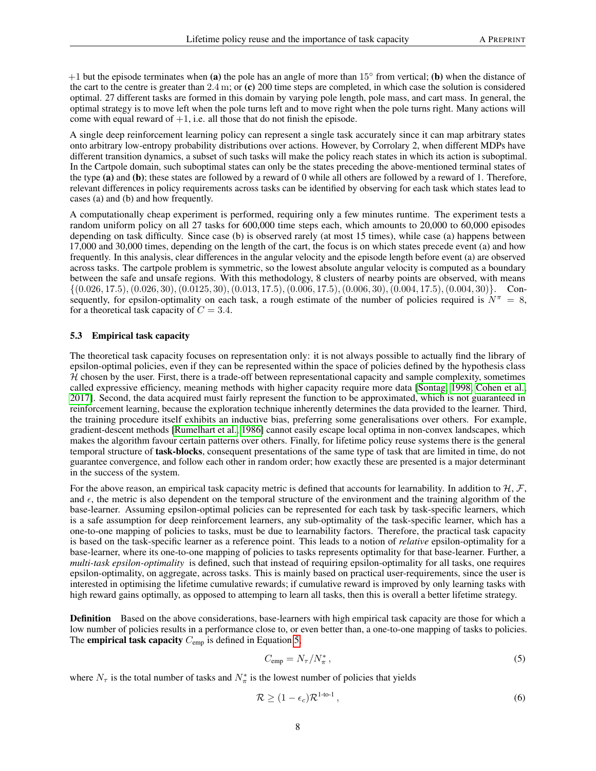$+1$  but the episode terminates when (a) the pole has an angle of more than 15 $\degree$  from vertical; (b) when the distance of the cart to the centre is greater than  $2.4$  m; or (c) 200 time steps are completed, in which case the solution is considered optimal. 27 different tasks are formed in this domain by varying pole length, pole mass, and cart mass. In general, the optimal strategy is to move left when the pole turns left and to move right when the pole turns right. Many actions will come with equal reward of  $+1$ , i.e. all those that do not finish the episode.

A single deep reinforcement learning policy can represent a single task accurately since it can map arbitrary states onto arbitrary low-entropy probability distributions over actions. However, by Corrolary 2, when different MDPs have different transition dynamics, a subset of such tasks will make the policy reach states in which its action is suboptimal. In the Cartpole domain, such suboptimal states can only be the states preceding the above-mentioned terminal states of the type (a) and (b); these states are followed by a reward of 0 while all others are followed by a reward of 1. Therefore, relevant differences in policy requirements across tasks can be identified by observing for each task which states lead to cases (a) and (b) and how frequently.

A computationally cheap experiment is performed, requiring only a few minutes runtime. The experiment tests a random uniform policy on all 27 tasks for 600,000 time steps each, which amounts to 20,000 to 60,000 episodes depending on task difficulty. Since case (b) is observed rarely (at most 15 times), while case (a) happens between 17,000 and 30,000 times, depending on the length of the cart, the focus is on which states precede event (a) and how frequently. In this analysis, clear differences in the angular velocity and the episode length before event (a) are observed across tasks. The cartpole problem is symmetric, so the lowest absolute angular velocity is computed as a boundary between the safe and unsafe regions. With this methodology, 8 clusters of nearby points are observed, with means  $\{(0.026, 17.5), (0.026, 30), (0.0125, 30), (0.013, 17.5), (0.006, 17.5), (0.006, 30), (0.004, 17.5), (0.004, 30)\}.$  Consequently, for epsilon-optimality on each task, a rough estimate of the number of policies required is  $N^{\pi} = 8$ , for a theoretical task capacity of  $C = 3.4$ .

#### 5.3 Empirical task capacity

The theoretical task capacity focuses on representation only: it is not always possible to actually find the library of epsilon-optimal policies, even if they can be represented within the space of policies defined by the hypothesis class  $H$  chosen by the user. First, there is a trade-off between representational capacity and sample complexity, sometimes called expressive efficiency, meaning methods with higher capacity require more data [\[Sontag, 1998,](#page-22-17) [Cohen et al.,](#page-23-0) [2017\]](#page-23-0). Second, the data acquired must fairly represent the function to be approximated, which is not guaranteed in reinforcement learning, because the exploration technique inherently determines the data provided to the learner. Third, the training procedure itself exhibits an inductive bias, preferring some generalisations over others. For example, gradient-descent methods [\[Rumelhart et al., 1986\]](#page-23-1) cannot easily escape local optima in non-convex landscapes, which makes the algorithm favour certain patterns over others. Finally, for lifetime policy reuse systems there is the general temporal structure of task-blocks, consequent presentations of the same type of task that are limited in time, do not guarantee convergence, and follow each other in random order; how exactly these are presented is a major determinant in the success of the system.

For the above reason, an empirical task capacity metric is defined that accounts for learnability. In addition to  $H, \mathcal{F}$ , and  $\epsilon$ , the metric is also dependent on the temporal structure of the environment and the training algorithm of the base-learner. Assuming epsilon-optimal policies can be represented for each task by task-specific learners, which is a safe assumption for deep reinforcement learners, any sub-optimality of the task-specific learner, which has a one-to-one mapping of policies to tasks, must be due to learnability factors. Therefore, the practical task capacity is based on the task-specific learner as a reference point. This leads to a notion of *relative* epsilon-optimality for a base-learner, where its one-to-one mapping of policies to tasks represents optimality for that base-learner. Further, a *multi-task epsilon-optimality* is defined, such that instead of requiring epsilon-optimality for all tasks, one requires epsilon-optimality, on aggregate, across tasks. This is mainly based on practical user-requirements, since the user is interested in optimising the lifetime cumulative rewards; if cumulative reward is improved by only learning tasks with high reward gains optimally, as opposed to attemping to learn all tasks, then this is overall a better lifetime strategy.

Definition Based on the above considerations, base-learners with high empirical task capacity are those for which a low number of policies results in a performance close to, or even better than, a one-to-one mapping of tasks to policies. The empirical task capacity  $C_{\text{emp}}$  is defined in Equation [5,](#page-7-0)

<span id="page-7-1"></span><span id="page-7-0"></span>
$$
C_{\rm emp} = N_{\tau}/N_{\pi}^* \,, \tag{5}
$$

where  $N_{\tau}$  is the total number of tasks and  $N_{\pi}^{*}$  is the lowest number of policies that yields

$$
\mathcal{R} \ge (1 - \epsilon_c) \mathcal{R}^{1 \text{-to-1}},\tag{6}
$$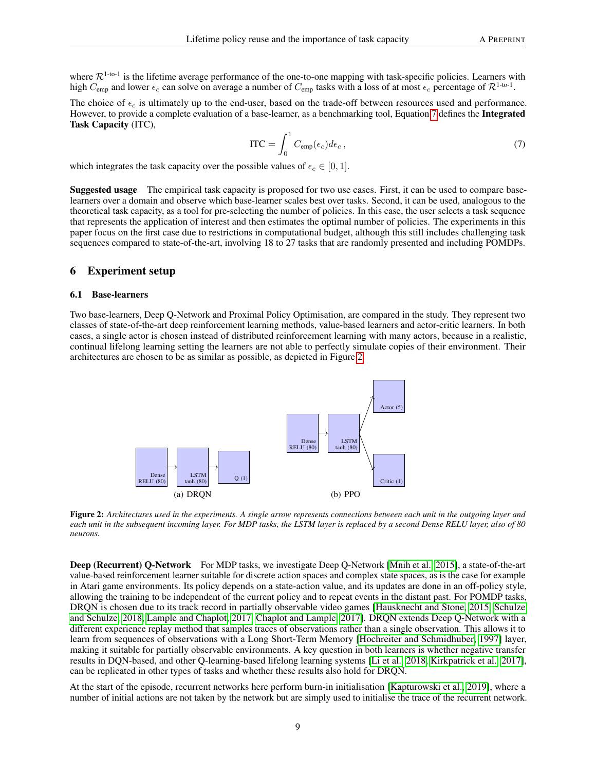where  $\mathcal{R}^{1-to-1}$  is the lifetime average performance of the one-to-one mapping with task-specific policies. Learners with high  $C_{\text{emp}}$  and lower  $\epsilon_c$  can solve on average a number of  $C_{\text{emp}}$  tasks with a loss of at most  $\epsilon_c$  percentage of  $\mathcal{R}^{1-to-1}$ .

<span id="page-8-0"></span>The choice of  $\epsilon_c$  is ultimately up to the end-user, based on the trade-off between resources used and performance. However, to provide a complete evaluation of a base-learner, as a benchmarking tool, Equation [7](#page-8-0) defines the Integrated Task Capacity (ITC),

$$
\text{ITC} = \int_0^1 C_{\text{emp}}(\epsilon_c) d\epsilon_c \,, \tag{7}
$$

which integrates the task capacity over the possible values of  $\epsilon_c \in [0, 1]$ .

Suggested usage The empirical task capacity is proposed for two use cases. First, it can be used to compare baselearners over a domain and observe which base-learner scales best over tasks. Second, it can be used, analogous to the theoretical task capacity, as a tool for pre-selecting the number of policies. In this case, the user selects a task sequence that represents the application of interest and then estimates the optimal number of policies. The experiments in this paper focus on the first case due to restrictions in computational budget, although this still includes challenging task sequences compared to state-of-the-art, involving 18 to 27 tasks that are randomly presented and including POMDPs.

#### 6 Experiment setup

#### 6.1 Base-learners

Two base-learners, Deep Q-Network and Proximal Policy Optimisation, are compared in the study. They represent two classes of state-of-the-art deep reinforcement learning methods, value-based learners and actor-critic learners. In both cases, a single actor is chosen instead of distributed reinforcement learning with many actors, because in a realistic, continual lifelong learning setting the learners are not able to perfectly simulate copies of their environment. Their architectures are chosen to be as similar as possible, as depicted in Figure [2.](#page-8-1)

<span id="page-8-1"></span>

Figure 2: *Architectures used in the experiments. A single arrow represents connections between each unit in the outgoing layer and each unit in the subsequent incoming layer. For MDP tasks, the LSTM layer is replaced by a second Dense RELU layer, also of 80 neurons.*

Deep (Recurrent) Q-Network For MDP tasks, we investigate Deep Q-Network [\[Mnih et al., 2015\]](#page-21-13), a state-of-the-art value-based reinforcement learner suitable for discrete action spaces and complex state spaces, as is the case for example in Atari game environments. Its policy depends on a state-action value, and its updates are done in an off-policy style, allowing the training to be independent of the current policy and to repeat events in the distant past. For POMDP tasks, DRQN is chosen due to its track record in partially observable video games [\[Hausknecht and Stone, 2015,](#page-23-2) [Schulze](#page-23-3) [and Schulze, 2018,](#page-23-3) [Lample and Chaplot, 2017,](#page-23-4) [Chaplot and Lample, 2017\]](#page-23-5). DRQN extends Deep Q-Network with a different experience replay method that samples traces of observations rather than a single observation. This allows it to learn from sequences of observations with a Long Short-Term Memory [\[Hochreiter and Schmidhuber, 1997\]](#page-23-6) layer, making it suitable for partially observable environments. A key question in both learners is whether negative transfer results in DQN-based, and other Q-learning-based lifelong learning systems [\[Li et al., 2018,](#page-21-17) [Kirkpatrick et al., 2017\]](#page-21-6), can be replicated in other types of tasks and whether these results also hold for DRQN.

At the start of the episode, recurrent networks here perform burn-in initialisation [\[Kapturowski et al., 2019\]](#page-23-7), where a number of initial actions are not taken by the network but are simply used to initialise the trace of the recurrent network.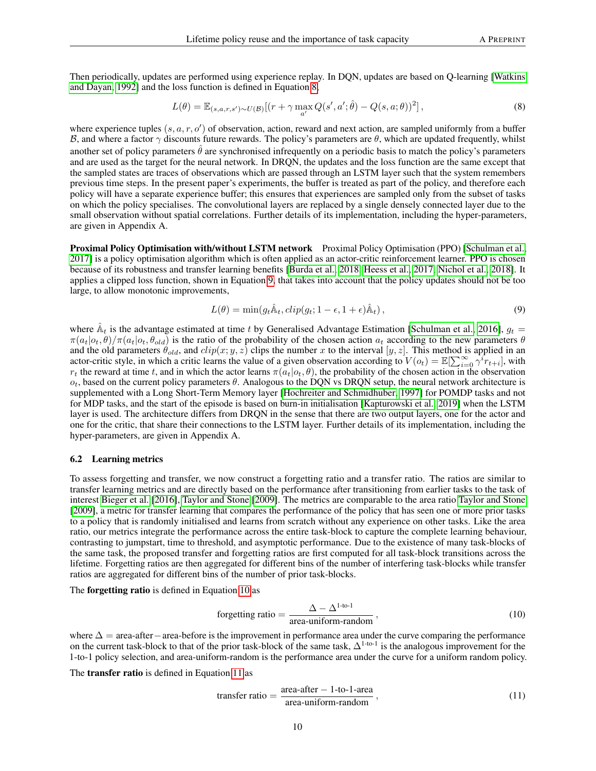Then periodically, updates are performed using experience replay. In DQN, updates are based on Q-learning [\[Watkins](#page-22-0) [and Dayan, 1992\]](#page-22-0) and the loss function is defined in Equation [8,](#page-9-0)

<span id="page-9-0"></span>
$$
L(\theta) = \mathbb{E}_{(s,a,r,s') \sim U(\mathcal{B})}[(r + \gamma \max_{a'} Q(s',a';\hat{\theta}) - Q(s,a;\theta))^2],
$$
\n(8)

where experience tuples  $(s, a, r, o')$  of observation, action, reward and next action, are sampled uniformly from a buffer B, and where a factor  $\gamma$  discounts future rewards. The policy's parameters are θ, which are updated frequently, whilst another set of policy parameters  $\hat{\theta}$  are synchronised infrequently on a periodic basis to match the policy's parameters and are used as the target for the neural network. In DRQN, the updates and the loss function are the same except that the sampled states are traces of observations which are passed through an LSTM layer such that the system remembers previous time steps. In the present paper's experiments, the buffer is treated as part of the policy, and therefore each policy will have a separate experience buffer; this ensures that experiences are sampled only from the subset of tasks on which the policy specialises. The convolutional layers are replaced by a single densely connected layer due to the small observation without spatial correlations. Further details of its implementation, including the hyper-parameters, are given in Appendix A.

Proximal Policy Optimisation with/without LSTM network Proximal Policy Optimisation (PPO) [\[Schulman et al.,](#page-23-8) [2017\]](#page-23-8) is a policy optimisation algorithm which is often applied as an actor-critic reinforcement learner. PPO is chosen because of its robustness and transfer learning benefits [\[Burda et al., 2018,](#page-23-9) [Heess et al., 2017,](#page-23-10) [Nichol et al., 2018\]](#page-23-11). It applies a clipped loss function, shown in Equation [9,](#page-9-1) that takes into account that the policy updates should not be too large, to allow monotonic improvements,

<span id="page-9-1"></span>
$$
L(\theta) = \min(g_t \hat{\mathbb{A}}_t, clip(g_t; 1 - \epsilon, 1 + \epsilon) \hat{\mathbb{A}}_t),
$$
\n(9)

where  $\hat{A}_t$  is the advantage estimated at time t by Generalised Advantage Estimation [\[Schulman et al., 2016\]](#page-23-12),  $g_t$  =  $\pi(a_t|o_t, \theta)/\pi(a_t|o_t, \theta_{old})$  is the ratio of the probability of the chosen action  $a_t$  according to the new parameters  $\theta$ and the old parameters  $\theta_{old}$ , and  $clip(x; y, z)$  clips the number x to the interval  $[y, z]$ . This method is applied in an actor-critic style, in which a critic learns the value of a given observation according to  $V(o_t) = \mathbb{E}[\sum_{i=0}^{\infty} \gamma^i r_{t+i}]$ , with  $r_t$  the reward at time t, and in which the actor learns  $\pi(a_t|o_t, \theta)$ , the probability of the chosen action in the observation  $o_t$ , based on the current policy parameters  $\theta$ . Analogous to the DQN vs DRQN setup, the neural network architecture is supplemented with a Long Short-Term Memory layer [\[Hochreiter and Schmidhuber, 1997\]](#page-23-6) for POMDP tasks and not for MDP tasks, and the start of the episode is based on burn-in initialisation [\[Kapturowski et al., 2019\]](#page-23-7) when the LSTM layer is used. The architecture differs from DRQN in the sense that there are two output layers, one for the actor and one for the critic, that share their connections to the LSTM layer. Further details of its implementation, including the hyper-parameters, are given in Appendix A.

#### <span id="page-9-4"></span>6.2 Learning metrics

To assess forgetting and transfer, we now construct a forgetting ratio and a transfer ratio. The ratios are similar to transfer learning metrics and are directly based on the performance after transitioning from earlier tasks to the task of interest [Bieger et al.](#page-23-13) [\[2016\]](#page-23-13), [Taylor and Stone](#page-20-0) [\[2009\]](#page-20-0). The metrics are comparable to the area ratio [Taylor and Stone](#page-20-0) [\[2009\]](#page-20-0), a metric for transfer learning that compares the performance of the policy that has seen one or more prior tasks to a policy that is randomly initialised and learns from scratch without any experience on other tasks. Like the area ratio, our metrics integrate the performance across the entire task-block to capture the complete learning behaviour, contrasting to jumpstart, time to threshold, and asymptotic performance. Due to the existence of many task-blocks of the same task, the proposed transfer and forgetting ratios are first computed for all task-block transitions across the lifetime. Forgetting ratios are then aggregated for different bins of the number of interfering task-blocks while transfer ratios are aggregated for different bins of the number of prior task-blocks.

The forgetting ratio is defined in Equation [10](#page-9-2) as

<span id="page-9-2"></span>forgetting ratio = 
$$
\frac{\Delta - \Delta^{1-to-1}}{\text{area-uniform-random}}
$$
, (10)

where  $\Delta$  = area-after – area-before is the improvement in performance area under the curve comparing the performance on the current task-block to that of the prior task-block of the same task,  $\Delta^{1-t_0-1}$  is the analogous improvement for the 1-to-1 policy selection, and area-uniform-random is the performance area under the curve for a uniform random policy.

The transfer ratio is defined in Equation [11](#page-9-3) as

<span id="page-9-3"></span>transfer ratio = 
$$
\frac{\text{area-after} - 1\text{-to-1-area}}{\text{area-uniform-random}},
$$
 (11)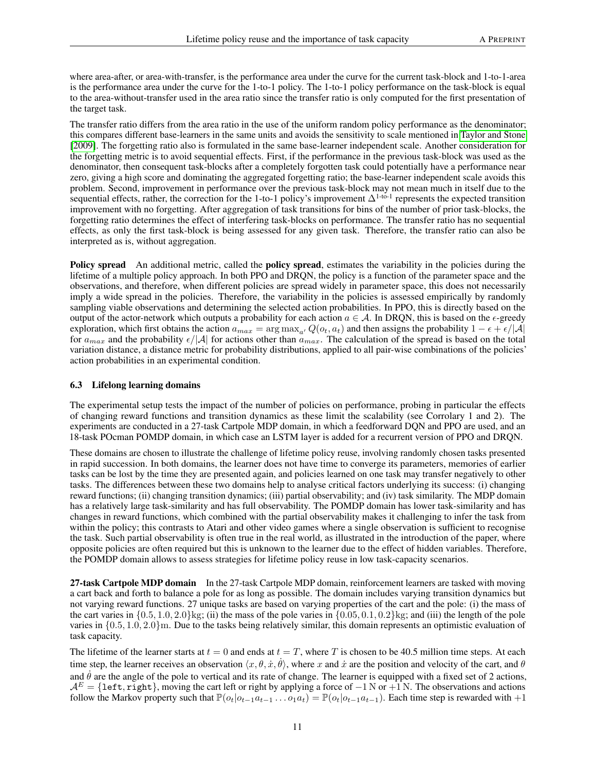where area-after, or area-with-transfer, is the performance area under the curve for the current task-block and 1-to-1-area is the performance area under the curve for the 1-to-1 policy. The 1-to-1 policy performance on the task-block is equal to the area-without-transfer used in the area ratio since the transfer ratio is only computed for the first presentation of the target task.

The transfer ratio differs from the area ratio in the use of the uniform random policy performance as the denominator; this compares different base-learners in the same units and avoids the sensitivity to scale mentioned in [Taylor and Stone](#page-20-0) [\[2009\]](#page-20-0). The forgetting ratio also is formulated in the same base-learner independent scale. Another consideration for the forgetting metric is to avoid sequential effects. First, if the performance in the previous task-block was used as the denominator, then consequent task-blocks after a completely forgotten task could potentially have a performance near zero, giving a high score and dominating the aggregated forgetting ratio; the base-learner independent scale avoids this problem. Second, improvement in performance over the previous task-block may not mean much in itself due to the sequential effects, rather, the correction for the 1-to-1 policy's improvement  $\Delta^{1-to-1}$  represents the expected transition improvement with no forgetting. After aggregation of task transitions for bins of the number of prior task-blocks, the forgetting ratio determines the effect of interfering task-blocks on performance. The transfer ratio has no sequential effects, as only the first task-block is being assessed for any given task. Therefore, the transfer ratio can also be interpreted as is, without aggregation.

Policy spread An additional metric, called the policy spread, estimates the variability in the policies during the lifetime of a multiple policy approach. In both PPO and DRQN, the policy is a function of the parameter space and the observations, and therefore, when different policies are spread widely in parameter space, this does not necessarily imply a wide spread in the policies. Therefore, the variability in the policies is assessed empirically by randomly sampling viable observations and determining the selected action probabilities. In PPO, this is directly based on the output of the actor-network which outputs a probability for each action  $a \in A$ . In DRQN, this is based on the  $\epsilon$ -greedy exploration, which first obtains the action  $a_{max} = \arg \max_{a'} Q(o_t, a_t)$  and then assigns the probability  $1 - \epsilon + \epsilon/|\mathcal{A}|$ for  $a_{max}$  and the probability  $\epsilon/|A|$  for actions other than  $a_{max}$ . The calculation of the spread is based on the total variation distance, a distance metric for probability distributions, applied to all pair-wise combinations of the policies' action probabilities in an experimental condition.

### <span id="page-10-0"></span>6.3 Lifelong learning domains

The experimental setup tests the impact of the number of policies on performance, probing in particular the effects of changing reward functions and transition dynamics as these limit the scalability (see Corrolary 1 and 2). The experiments are conducted in a 27-task Cartpole MDP domain, in which a feedforward DQN and PPO are used, and an 18-task POcman POMDP domain, in which case an LSTM layer is added for a recurrent version of PPO and DRQN.

These domains are chosen to illustrate the challenge of lifetime policy reuse, involving randomly chosen tasks presented in rapid succession. In both domains, the learner does not have time to converge its parameters, memories of earlier tasks can be lost by the time they are presented again, and policies learned on one task may transfer negatively to other tasks. The differences between these two domains help to analyse critical factors underlying its success: (i) changing reward functions; (ii) changing transition dynamics; (iii) partial observability; and (iv) task similarity. The MDP domain has a relatively large task-similarity and has full observability. The POMDP domain has lower task-similarity and has changes in reward functions, which combined with the partial observability makes it challenging to infer the task from within the policy; this contrasts to Atari and other video games where a single observation is sufficient to recognise the task. Such partial observability is often true in the real world, as illustrated in the introduction of the paper, where opposite policies are often required but this is unknown to the learner due to the effect of hidden variables. Therefore, the POMDP domain allows to assess strategies for lifetime policy reuse in low task-capacity scenarios.

27-task Cartpole MDP domain In the 27-task Cartpole MDP domain, reinforcement learners are tasked with moving a cart back and forth to balance a pole for as long as possible. The domain includes varying transition dynamics but not varying reward functions. 27 unique tasks are based on varying properties of the cart and the pole: (i) the mass of the cart varies in  $\{0.5, 1.0, 2.0\}$ kg; (ii) the mass of the pole varies in  $\{0.05, 0.1, 0.2\}$ kg; and (iii) the length of the pole varies in {0.5, 1.0, 2.0}m. Due to the tasks being relatively similar, this domain represents an optimistic evaluation of task capacity.

The lifetime of the learner starts at  $t = 0$  and ends at  $t = T$ , where T is chosen to be 40.5 million time steps. At each time step, the learner receives an observation  $\langle x, \theta, \dot{x}, \dot{\theta} \rangle$ , where x and  $\dot{x}$  are the position and velocity of the cart, and  $\theta$ and  $\hat{\theta}$  are the angle of the pole to vertical and its rate of change. The learner is equipped with a fixed set of 2 actions,  $A<sup>E</sup> = {let, right},$  moving the cart left or right by applying a force of  $-1$  N or  $+1$  N. The observations and actions follow the Markov property such that  $\mathbb{P}(o_t|o_{t-1}a_{t-1} \ldots o_1a_t) = \mathbb{P}(o_t|o_{t-1}a_{t-1})$ . Each time step is rewarded with +1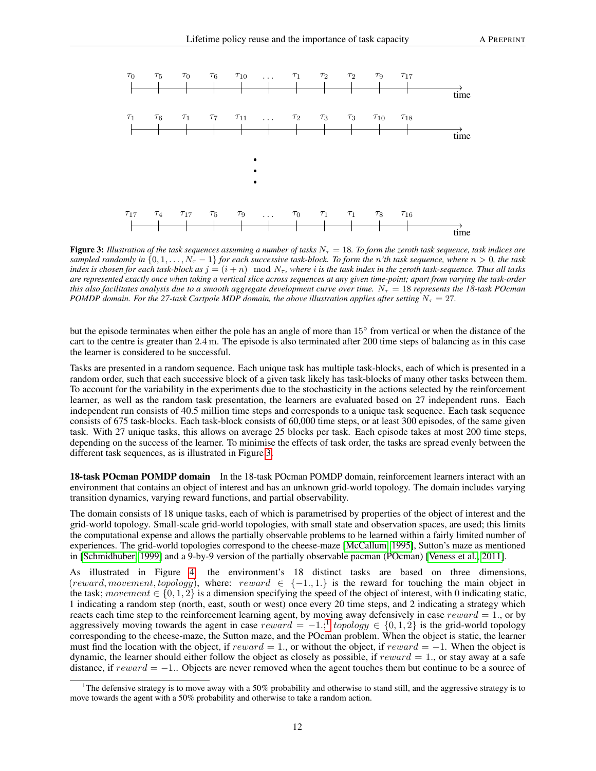<span id="page-11-0"></span>

**Figure 3:** Illustration of the task sequences assuming a number of tasks  $N<sub>\tau</sub> = 18$ . To form the zeroth task sequence, task indices are *sampled randomly in*  $\{0, 1, \ldots, N_{\tau} - 1\}$  *for each successive task-block. To form the n'th* task sequence, where  $n > 0$ , the task *index is chosen for each task-block as*  $j = (i + n) \mod N_{\tau}$ , where *i is the task index in the zeroth task-sequence. Thus all tasks are represented exactly once when taking a vertical slice across sequences at any given time-point; apart from varying the task-order this also facilitates analysis due to a smooth aggregate development curve over time.*  $N_{\tau} = 18$  *represents the 18-task POcman POMDP domain. For the 27-task Cartpole MDP domain, the above illustration applies after setting*  $N<sub>\tau</sub> = 27$ *.* 

but the episode terminates when either the pole has an angle of more than 15◦ from vertical or when the distance of the cart to the centre is greater than 2.4 m. The episode is also terminated after 200 time steps of balancing as in this case the learner is considered to be successful.

Tasks are presented in a random sequence. Each unique task has multiple task-blocks, each of which is presented in a random order, such that each successive block of a given task likely has task-blocks of many other tasks between them. To account for the variability in the experiments due to the stochasticity in the actions selected by the reinforcement learner, as well as the random task presentation, the learners are evaluated based on 27 independent runs. Each independent run consists of 40.5 million time steps and corresponds to a unique task sequence. Each task sequence consists of 675 task-blocks. Each task-block consists of 60,000 time steps, or at least 300 episodes, of the same given task. With 27 unique tasks, this allows on average 25 blocks per task. Each episode takes at most 200 time steps, depending on the success of the learner. To minimise the effects of task order, the tasks are spread evenly between the different task sequences, as is illustrated in Figure [3.](#page-11-0)

18-task POcman POMDP domain In the 18-task POcman POMDP domain, reinforcement learners interact with an environment that contains an object of interest and has an unknown grid-world topology. The domain includes varying transition dynamics, varying reward functions, and partial observability.

The domain consists of 18 unique tasks, each of which is parametrised by properties of the object of interest and the grid-world topology. Small-scale grid-world topologies, with small state and observation spaces, are used; this limits the computational expense and allows the partially observable problems to be learned within a fairly limited number of experiences. The grid-world topologies correspond to the cheese-maze [\[McCallum, 1995\]](#page-23-14), Sutton's maze as mentioned in [\[Schmidhuber, 1999\]](#page-23-15) and a 9-by-9 version of the partially observable pacman (POcman) [\[Veness et al., 2011\]](#page-23-16).

As illustrated in Figure [4,](#page-12-0) the environment's 18 distinct tasks are based on three dimensions, (reward, movement, topology), where: reward  $\in \{-1, 1\}$  is the reward for touching the main object in the task; movement  $\in \{0, 1, 2\}$  is a dimension specifying the speed of the object of interest, with 0 indicating static, 1 indicating a random step (north, east, south or west) once every 20 time steps, and 2 indicating a strategy which reacts each time step to the reinforcement learning agent, by moving away defensively in case  $reward = 1$ ., or by aggressively moving towards the agent in case  $reward = -1$  $reward = -1$ ;  $topology \in \{0, 1, 2\}$  is the grid-world topology corresponding to the cheese-maze, the Sutton maze, and the POcman problem. When the object is static, the learner must find the location with the object, if reward = 1., or without the object, if reward =  $-1$ . When the object is dynamic, the learner should either follow the object as closely as possible, if  $reward = 1$ ., or stay away at a safe distance, if  $reward = -1$ . Objects are never removed when the agent touches them but continue to be a source of

<span id="page-11-1"></span><sup>1</sup>The defensive strategy is to move away with a 50% probability and otherwise to stand still, and the aggressive strategy is to move towards the agent with a 50% probability and otherwise to take a random action.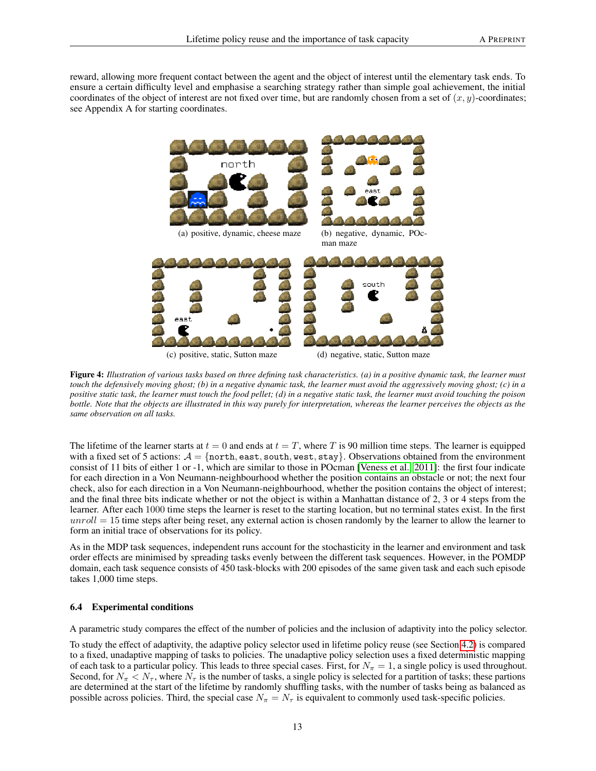<span id="page-12-0"></span>reward, allowing more frequent contact between the agent and the object of interest until the elementary task ends. To ensure a certain difficulty level and emphasise a searching strategy rather than simple goal achievement, the initial coordinates of the object of interest are not fixed over time, but are randomly chosen from a set of  $(x, y)$ -coordinates; see Appendix A for starting coordinates.



Figure 4: *Illustration of various tasks based on three defining task characteristics. (a) in a positive dynamic task, the learner must touch the defensively moving ghost; (b) in a negative dynamic task, the learner must avoid the aggressively moving ghost; (c) in a positive static task, the learner must touch the food pellet; (d) in a negative static task, the learner must avoid touching the poison bottle. Note that the objects are illustrated in this way purely for interpretation, whereas the learner perceives the objects as the same observation on all tasks.*

The lifetime of the learner starts at  $t = 0$  and ends at  $t = T$ , where T is 90 million time steps. The learner is equipped with a fixed set of 5 actions:  $A = \{north, east, south, west, stay\}$ . Observations obtained from the environment consist of 11 bits of either 1 or -1, which are similar to those in POcman [\[Veness et al., 2011\]](#page-23-16): the first four indicate for each direction in a Von Neumann-neighbourhood whether the position contains an obstacle or not; the next four check, also for each direction in a Von Neumann-neighbourhood, whether the position contains the object of interest; and the final three bits indicate whether or not the object is within a Manhattan distance of 2, 3 or 4 steps from the learner. After each 1000 time steps the learner is reset to the starting location, but no terminal states exist. In the first  $unroll = 15$  time steps after being reset, any external action is chosen randomly by the learner to allow the learner to form an initial trace of observations for its policy.

As in the MDP task sequences, independent runs account for the stochasticity in the learner and environment and task order effects are minimised by spreading tasks evenly between the different task sequences. However, in the POMDP domain, each task sequence consists of 450 task-blocks with 200 episodes of the same given task and each such episode takes 1,000 time steps.

#### 6.4 Experimental conditions

A parametric study compares the effect of the number of policies and the inclusion of adaptivity into the policy selector.

To study the effect of adaptivity, the adaptive policy selector used in lifetime policy reuse (see Section [4.2\)](#page-4-2) is compared to a fixed, unadaptive mapping of tasks to policies. The unadaptive policy selection uses a fixed deterministic mapping of each task to a particular policy. This leads to three special cases. First, for  $N_{\pi} = 1$ , a single policy is used throughout. Second, for  $N_\pi < N_\tau$ , where  $N_\tau$  is the number of tasks, a single policy is selected for a partition of tasks; these partions are determined at the start of the lifetime by randomly shuffling tasks, with the number of tasks being as balanced as possible across policies. Third, the special case  $N_{\pi} = N_{\tau}$  is equivalent to commonly used task-specific policies.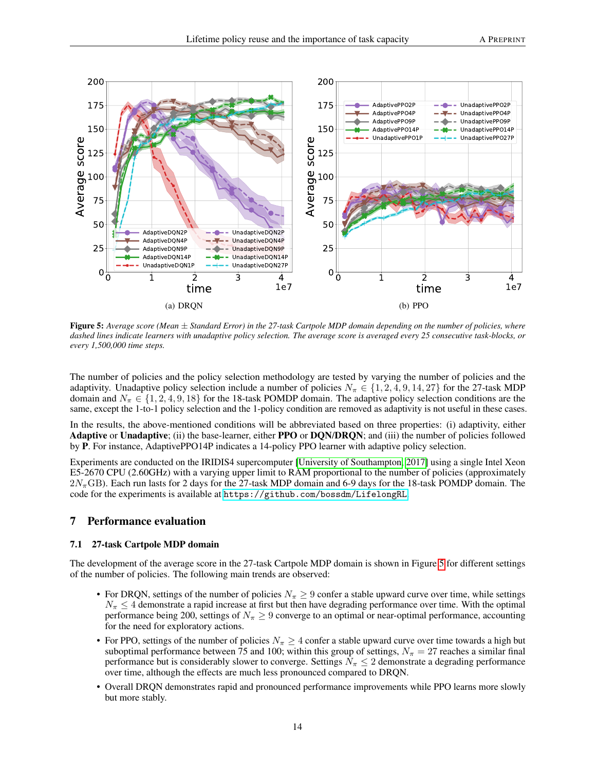<span id="page-13-0"></span>

Figure 5: *Average score (Mean* ± *Standard Error) in the 27-task Cartpole MDP domain depending on the number of policies, where dashed lines indicate learners with unadaptive policy selection. The average score is averaged every 25 consecutive task-blocks, or every 1,500,000 time steps.*

The number of policies and the policy selection methodology are tested by varying the number of policies and the adaptivity. Unadaptive policy selection include a number of policies  $N_{\pi} \in \{1, 2, 4, 9, 14, 27\}$  for the 27-task MDP domain and  $N_{\pi} \in \{1, 2, 4, 9, 18\}$  for the 18-task POMDP domain. The adaptive policy selection conditions are the same, except the 1-to-1 policy selection and the 1-policy condition are removed as adaptivity is not useful in these cases.

In the results, the above-mentioned conditions will be abbreviated based on three properties: (i) adaptivity, either Adaptive or Unadaptive; (ii) the base-learner, either PPO or DON/DRON; and (iii) the number of policies followed by P. For instance, AdaptivePPO14P indicates a 14-policy PPO learner with adaptive policy selection.

Experiments are conducted on the IRIDIS4 supercomputer [\[University of Southampton, 2017\]](#page-23-17) using a single Intel Xeon E5-2670 CPU (2.60GHz) with a varying upper limit to RAM proportional to the number of policies (approximately  $2N_{\pi}$ GB). Each run lasts for 2 days for the 27-task MDP domain and 6-9 days for the 18-task POMDP domain. The code for the experiments is available at <https://github.com/bossdm/LifelongRL>.

### 7 Performance evaluation

#### 7.1 27-task Cartpole MDP domain

The development of the average score in the 27-task Cartpole MDP domain is shown in Figure [5](#page-13-0) for different settings of the number of policies. The following main trends are observed:

- For DRQN, settings of the number of policies  $N_{\pi} \geq 9$  confer a stable upward curve over time, while settings  $N_{\pi} \leq 4$  demonstrate a rapid increase at first but then have degrading performance over time. With the optimal performance being 200, settings of  $N_\pi \geq 9$  converge to an optimal or near-optimal performance, accounting for the need for exploratory actions.
- For PPO, settings of the number of policies  $N_\pi \geq 4$  confer a stable upward curve over time towards a high but suboptimal performance between 75 and 100; within this group of settings,  $N_{\pi} = 27$  reaches a similar final performance but is considerably slower to converge. Settings  $N_{\pi} \leq 2$  demonstrate a degrading performance over time, although the effects are much less pronounced compared to DRQN.
- Overall DRQN demonstrates rapid and pronounced performance improvements while PPO learns more slowly but more stably.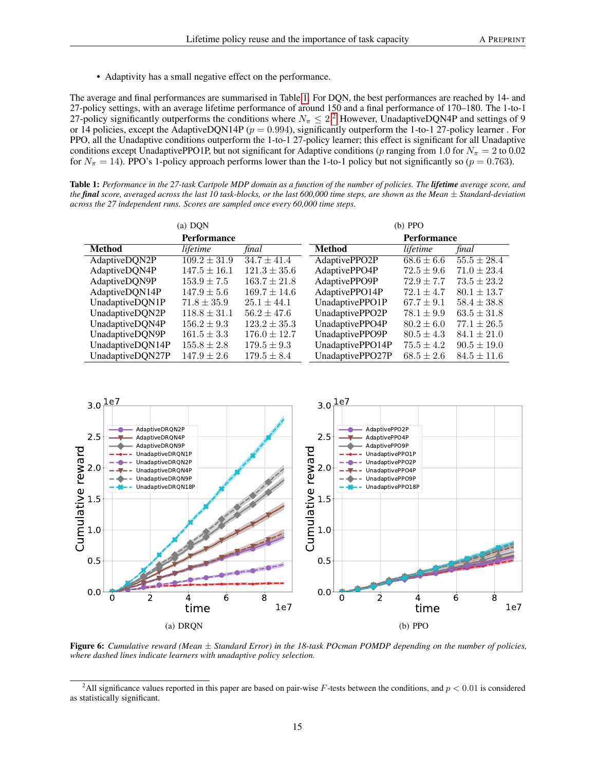• Adaptivity has a small negative effect on the performance.

The average and final performances are summarised in Table [1.](#page-14-0) For DQN, the best performances are reached by 14- and 27-policy settings, with an average lifetime performance of around 150 and a final performance of 170–180. The 1-to-1 [2](#page-14-1)7-policy significantly outperforms the conditions where  $N_{\pi} \leq 2.2$  However, UnadaptiveDQN4P and settings of 9 or 14 policies, except the AdaptiveDQN14P ( $p = 0.994$ ), significantly outperform the 1-to-1 27-policy learner. For PPO, all the Unadaptive conditions outperform the 1-to-1 27-policy learner; this effect is significant for all Unadaptive conditions except UnadaptivePPO1P, but not significant for Adaptive conditions (p ranging from 1.0 for  $N_{\pi} = 2$  to 0.02 for  $N_{\pi} = 14$ ). PPO's 1-policy approach performs lower than the 1-to-1 policy but not significantly so ( $p = 0.763$ ).

<span id="page-14-0"></span>Table 1: *Performance in the 27-task Cartpole MDP domain as a function of the number of policies. The lifetime average score, and the final score, averaged across the last 10 task-blocks, or the last 600,000 time steps, are shown as the Mean* ± *Standard-deviation across the 27 independent runs. Scores are sampled once every 60,000 time steps.*

| (a) DQN            |                  |                  | $(b)$ PPO          |                |                 |
|--------------------|------------------|------------------|--------------------|----------------|-----------------|
| <b>Performance</b> |                  |                  | <b>Performance</b> |                |                 |
| <b>Method</b>      | lifetime         | final            | <b>Method</b>      | lifetime       | final           |
| AdaptiveDQN2P      | $109.2 \pm 31.9$ | $34.7 \pm 41.4$  | AdaptivePPO2P      | $68.6 \pm 6.6$ | $55.5 \pm 28.4$ |
| AdaptiveDQN4P      | $147.5 \pm 16.1$ | $121.3 \pm 35.6$ | AdaptivePPO4P      | $72.5 \pm 9.6$ | $71.0 \pm 23.4$ |
| AdaptiveDQN9P      | $153.9 \pm 7.5$  | $163.7 \pm 21.8$ | AdaptivePPO9P      | $72.9 \pm 7.7$ | $73.5 \pm 23.2$ |
| AdaptiveDQN14P     | $147.9 \pm 5.6$  | $169.7 \pm 14.6$ | AdaptivePPO14P     | $72.1 \pm 4.7$ | $80.1 \pm 13.7$ |
| UnadaptiveDQN1P    | $71.8 \pm 35.9$  | $25.1 \pm 44.1$  | UnadaptivePPO1P    | $67.7 \pm 9.1$ | $58.4 \pm 38.8$ |
| UnadaptiveDQN2P    | $118.8 \pm 31.1$ | $56.2 \pm 47.6$  | UnadaptivePPO2P    | $78.1 \pm 9.9$ | $63.5 \pm 31.8$ |
| UnadaptiveDQN4P    | $156.2 \pm 9.3$  | $123.2 \pm 35.3$ | UnadaptivePPO4P    | $80.2 \pm 6.0$ | $77.1 \pm 26.5$ |
| UnadaptiveDQN9P    | $161.5 \pm 3.3$  | $176.0 \pm 12.7$ | UnadaptivePPO9P    | $80.5 \pm 4.3$ | $84.1 \pm 21.0$ |
| UnadaptiveDQN14P   | $155.8 \pm 2.8$  | $179.5 \pm 9.3$  | UnadaptivePPO14P   | $75.5 \pm 4.2$ | $90.5 \pm 19.0$ |
| UnadaptiveDQN27P   | $147.9 \pm 2.6$  | $179.5 \pm 8.4$  | UnadaptivePPO27P   | $68.5 \pm 2.6$ | $84.5 \pm 11.6$ |

<span id="page-14-2"></span>

Figure 6: *Cumulative reward (Mean* ± *Standard Error) in the 18-task POcman POMDP depending on the number of policies, where dashed lines indicate learners with unadaptive policy selection.*

<span id="page-14-1"></span><sup>&</sup>lt;sup>2</sup>All significance values reported in this paper are based on pair-wise F-tests between the conditions, and  $p < 0.01$  is considered as statistically significant.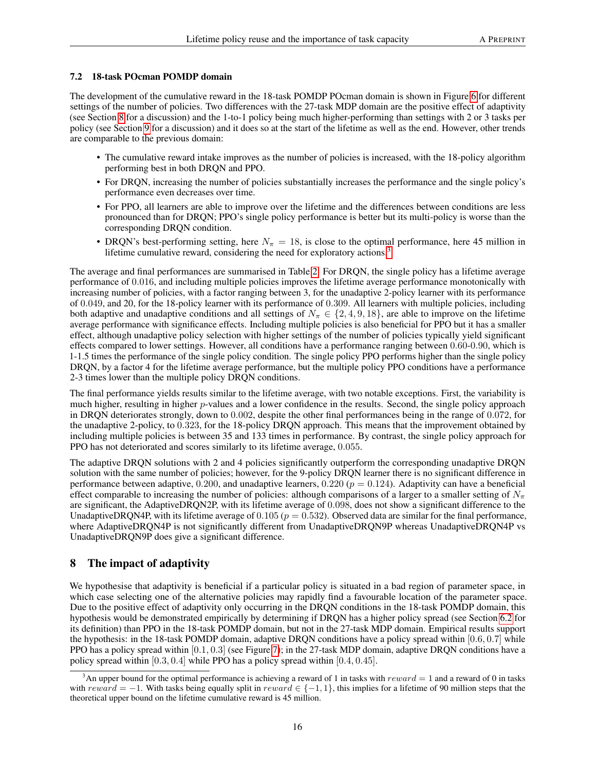#### 7.2 18-task POcman POMDP domain

The development of the cumulative reward in the 18-task POMDP POcman domain is shown in Figure [6](#page-14-2) for different settings of the number of policies. Two differences with the 27-task MDP domain are the positive effect of adaptivity (see Section [8](#page-15-0) for a discussion) and the 1-to-1 policy being much higher-performing than settings with 2 or 3 tasks per policy (see Section [9](#page-16-0) for a discussion) and it does so at the start of the lifetime as well as the end. However, other trends are comparable to the previous domain:

- The cumulative reward intake improves as the number of policies is increased, with the 18-policy algorithm performing best in both DRQN and PPO.
- For DRQN, increasing the number of policies substantially increases the performance and the single policy's performance even decreases over time.
- For PPO, all learners are able to improve over the lifetime and the differences between conditions are less pronounced than for DRQN; PPO's single policy performance is better but its multi-policy is worse than the corresponding DRQN condition.
- DRQN's best-performing setting, here  $N_\pi = 18$ , is close to the optimal performance, here 45 million in lifetime cumulative reward, considering the need for exploratory actions.<sup>[3](#page-15-1)</sup>

The average and final performances are summarised in Table [2.](#page-16-1) For DRQN, the single policy has a lifetime average performance of 0.016, and including multiple policies improves the lifetime average performance monotonically with increasing number of policies, with a factor ranging between 3, for the unadaptive 2-policy learner with its performance of 0.049, and 20, for the 18-policy learner with its performance of 0.309. All learners with multiple policies, including both adaptive and unadaptive conditions and all settings of  $N_\pi \in \{2, 4, 9, 18\}$ , are able to improve on the lifetime average performance with significance effects. Including multiple policies is also beneficial for PPO but it has a smaller effect, although unadaptive policy selection with higher settings of the number of policies typically yield significant effects compared to lower settings. However, all conditions have a performance ranging between 0.60-0.90, which is 1-1.5 times the performance of the single policy condition. The single policy PPO performs higher than the single policy DRQN, by a factor 4 for the lifetime average performance, but the multiple policy PPO conditions have a performance 2-3 times lower than the multiple policy DRQN conditions.

The final performance yields results similar to the lifetime average, with two notable exceptions. First, the variability is much higher, resulting in higher p-values and a lower confidence in the results. Second, the single policy approach in DRQN deteriorates strongly, down to 0.002, despite the other final performances being in the range of 0.072, for the unadaptive 2-policy, to 0.323, for the 18-policy DRQN approach. This means that the improvement obtained by including multiple policies is between 35 and 133 times in performance. By contrast, the single policy approach for PPO has not deteriorated and scores similarly to its lifetime average, 0.055.

The adaptive DRQN solutions with 2 and 4 policies significantly outperform the corresponding unadaptive DRQN solution with the same number of policies; however, for the 9-policy DRQN learner there is no significant difference in performance between adaptive,  $0.200$ , and unadaptive learners,  $0.220$  ( $p = 0.124$ ). Adaptivity can have a beneficial effect comparable to increasing the number of policies: although comparisons of a larger to a smaller setting of  $N_{\pi}$ are significant, the AdaptiveDRQN2P, with its lifetime average of 0.098, does not show a significant difference to the UnadaptiveDRQN4P, with its lifetime average of  $0.105 (p = 0.532)$ . Observed data are similar for the final performance, where AdaptiveDRQN4P is not significantly different from UnadaptiveDRQN9P whereas UnadaptiveDRQN4P vs UnadaptiveDRQN9P does give a significant difference.

# <span id="page-15-0"></span>8 The impact of adaptivity

We hypothesise that adaptivity is beneficial if a particular policy is situated in a bad region of parameter space, in which case selecting one of the alternative policies may rapidly find a favourable location of the parameter space. Due to the positive effect of adaptivity only occurring in the DRQN conditions in the 18-task POMDP domain, this hypothesis would be demonstrated empirically by determining if DRQN has a higher policy spread (see Section [6.2](#page-9-4) for its definition) than PPO in the 18-task POMDP domain, but not in the 27-task MDP domain. Empirical results support the hypothesis: in the 18-task POMDP domain, adaptive DRQN conditions have a policy spread within  $[0.6, 0.7]$  while PPO has a policy spread within [0.1, 0.3] (see Figure [7\)](#page-17-0); in the 27-task MDP domain, adaptive DRQN conditions have a policy spread within [0.3, 0.4] while PPO has a policy spread within [0.4, 0.45].

<span id="page-15-1"></span><sup>&</sup>lt;sup>3</sup>An upper bound for the optimal performance is achieving a reward of 1 in tasks with  $reward = 1$  and a reward of 0 in tasks with reward = −1. With tasks being equally split in reward  $\in \{-1, 1\}$ , this implies for a lifetime of 90 million steps that the theoretical upper bound on the lifetime cumulative reward is 45 million.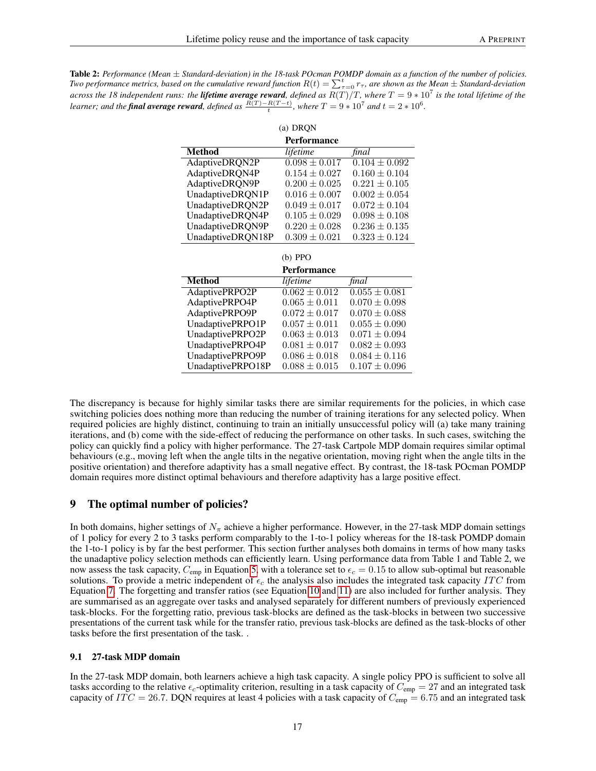<span id="page-16-1"></span>Table 2: *Performance (Mean* ± *Standard-deviation) in the 18-task POcman POMDP domain as a function of the number of policies. Two performance metrics, based on the cumulative reward function*  $R(t)=\sum_{\tau=0}^t r_\tau$ , are shown as the Mean  $\pm$  Standard-deviation *across the 18 independent runs: the lifetime average reward, defined as* R(T)/T*, where* T = 9 ∗ 10<sup>7</sup> *is the total lifetime of the learner; and the final average reward, defined as*  $\frac{R(T) - R(T - t)}{t}$ *, where*  $T = 9 * 10^7$  *and*  $t = 2 * 10^6$ *.* 

| (a) DRQN          |                              |                              |  |  |
|-------------------|------------------------------|------------------------------|--|--|
|                   | <b>Performance</b>           |                              |  |  |
| <b>Method</b>     | lifetime                     | final                        |  |  |
| AdaptiveDRQN2P    | $\overline{0.098 \pm 0.017}$ | $\overline{0.104 \pm 0.092}$ |  |  |
| AdaptiveDRQN4P    | $0.154 \pm 0.027$            | $0.160 \pm 0.104$            |  |  |
| AdaptiveDRQN9P    | $0.200 \pm 0.025$            | $0.221 \pm 0.105$            |  |  |
| UnadaptiveDRQN1P  | $0.016 \pm 0.007$            | $0.002 \pm 0.054$            |  |  |
| UnadaptiveDRQN2P  | $0.049 \pm 0.017$            | $0.072 \pm 0.104$            |  |  |
| UnadaptiveDRQN4P  | $0.105 \pm 0.029$            | $0.098 \pm 0.108$            |  |  |
| UnadaptiveDRQN9P  | $0.220 \pm 0.028$            | $0.236 \pm 0.135$            |  |  |
| UnadaptiveDRQN18P | $0.309 \pm 0.021$            | $0.323 \pm 0.124$            |  |  |
|                   |                              |                              |  |  |
|                   |                              |                              |  |  |
|                   | $(b)$ PPO                    |                              |  |  |
|                   | <b>Performance</b>           |                              |  |  |
| <b>Method</b>     | lifetime                     | final                        |  |  |
| AdaptivePRPO2P    | $0.062 \pm 0.012$            | $0.055 \pm 0.081$            |  |  |
| AdaptivePRPO4P    | $0.065 \pm 0.011$            | $0.070 \pm 0.098$            |  |  |
| AdaptivePRPO9P    | $0.072 \pm 0.017$            | $0.070 \pm 0.088$            |  |  |
| UnadaptivePRPO1P  | $0.057 \pm 0.011$            | $0.055 \pm 0.090$            |  |  |
| UnadaptivePRPO2P  | $0.063 \pm 0.013$            | $0.071 \pm 0.094$            |  |  |
| UnadaptivePRPO4P  | $0.081 \pm 0.017$            | $0.082 \pm 0.093$            |  |  |
| UnadaptivePRPO9P  | $0.086 \pm 0.018$            | $0.084 \pm 0.116$            |  |  |

# <span id="page-16-0"></span>9 The optimal number of policies?

In both domains, higher settings of  $N_{\pi}$  achieve a higher performance. However, in the 27-task MDP domain settings of 1 policy for every 2 to 3 tasks perform comparably to the 1-to-1 policy whereas for the 18-task POMDP domain the 1-to-1 policy is by far the best performer. This section further analyses both domains in terms of how many tasks the unadaptive policy selection methods can efficiently learn. Using performance data from Table 1 and Table 2, we now assess the task capacity,  $C_{\text{emp}}$  in Equation [5,](#page-7-0) with a tolerance set to  $\epsilon_c = 0.15$  to allow sub-optimal but reasonable solutions. To provide a metric independent of  $\epsilon_c$  the analysis also includes the integrated task capacity ITC from Equation [7.](#page-8-0) The forgetting and transfer ratios (see Equation [10](#page-9-2) and [11\)](#page-9-3) are also included for further analysis. They are summarised as an aggregate over tasks and analysed separately for different numbers of previously experienced task-blocks. For the forgetting ratio, previous task-blocks are defined as the task-blocks in between two successive presentations of the current task while for the transfer ratio, previous task-blocks are defined as the task-blocks of other tasks before the first presentation of the task. .

#### 9.1 27-task MDP domain

In the 27-task MDP domain, both learners achieve a high task capacity. A single policy PPO is sufficient to solve all tasks according to the relative  $\epsilon_c$ -optimality criterion, resulting in a task capacity of  $C_{\text{emp}} = 27$  and an integrated task capacity of  $ITC = 26.7$ . DQN requires at least 4 policies with a task capacity of  $C_{\text{emp}} = 6.75$  and an integrated task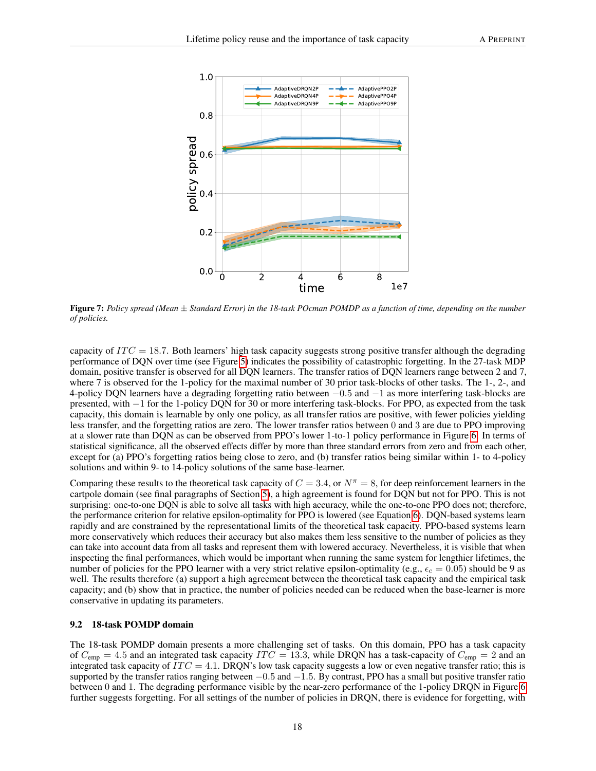<span id="page-17-0"></span>

Figure 7: *Policy spread (Mean* ± *Standard Error) in the 18-task POcman POMDP as a function of time, depending on the number of policies.*

capacity of  $ITC = 18.7$ . Both learners' high task capacity suggests strong positive transfer although the degrading performance of DQN over time (see Figure [5\)](#page-13-0) indicates the possibility of catastrophic forgetting. In the 27-task MDP domain, positive transfer is observed for all DQN learners. The transfer ratios of DQN learners range between 2 and 7, where 7 is observed for the 1-policy for the maximal number of 30 prior task-blocks of other tasks. The 1-, 2-, and 4-policy DQN learners have a degrading forgetting ratio between −0.5 and −1 as more interfering task-blocks are presented, with −1 for the 1-policy DQN for 30 or more interfering task-blocks. For PPO, as expected from the task capacity, this domain is learnable by only one policy, as all transfer ratios are positive, with fewer policies yielding less transfer, and the forgetting ratios are zero. The lower transfer ratios between 0 and 3 are due to PPO improving at a slower rate than DQN as can be observed from PPO's lower 1-to-1 policy performance in Figure [6.](#page-14-2) In terms of statistical significance, all the observed effects differ by more than three standard errors from zero and from each other, except for (a) PPO's forgetting ratios being close to zero, and (b) transfer ratios being similar within 1- to 4-policy solutions and within 9- to 14-policy solutions of the same base-learner.

Comparing these results to the theoretical task capacity of  $C = 3.4$ , or  $N^{\pi} = 8$ , for deep reinforcement learners in the cartpole domain (see final paragraphs of Section [5\)](#page-5-0), a high agreement is found for DQN but not for PPO. This is not surprising: one-to-one DQN is able to solve all tasks with high accuracy, while the one-to-one PPO does not; therefore, the performance criterion for relative epsilon-optimality for PPO is lowered (see Equation [6\)](#page-7-1). DQN-based systems learn rapidly and are constrained by the representational limits of the theoretical task capacity. PPO-based systems learn more conservatively which reduces their accuracy but also makes them less sensitive to the number of policies as they can take into account data from all tasks and represent them with lowered accuracy. Nevertheless, it is visible that when inspecting the final performances, which would be important when running the same system for lengthier lifetimes, the number of policies for the PPO learner with a very strict relative epsilon-optimality (e.g.,  $\epsilon_c = 0.05$ ) should be 9 as well. The results therefore (a) support a high agreement between the theoretical task capacity and the empirical task capacity; and (b) show that in practice, the number of policies needed can be reduced when the base-learner is more conservative in updating its parameters.

#### 9.2 18-task POMDP domain

The 18-task POMDP domain presents a more challenging set of tasks. On this domain, PPO has a task capacity of  $C_{\text{emp}} = 4.5$  and an integrated task capacity  $ITC = 13.3$ , while DRQN has a task-capacity of  $C_{\text{emp}} = 2$  and an integrated task capacity of  $ITC = 4.1$ . DRQN's low task capacity suggests a low or even negative transfer ratio; this is supported by the transfer ratios ranging between  $-0.5$  and  $-1.5$ . By contrast, PPO has a small but positive transfer ratio between 0 and 1. The degrading performance visible by the near-zero performance of the 1-policy DRQN in Figure [6](#page-14-2) further suggests forgetting. For all settings of the number of policies in DRQN, there is evidence for forgetting, with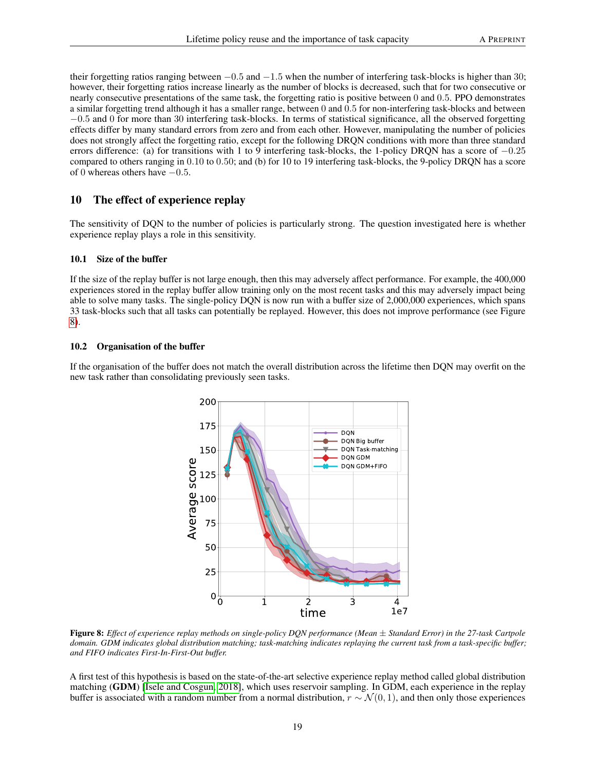their forgetting ratios ranging between  $-0.5$  and  $-1.5$  when the number of interfering task-blocks is higher than 30; however, their forgetting ratios increase linearly as the number of blocks is decreased, such that for two consecutive or nearly consecutive presentations of the same task, the forgetting ratio is positive between 0 and 0.5. PPO demonstrates a similar forgetting trend although it has a smaller range, between 0 and 0.5 for non-interfering task-blocks and between −0.5 and 0 for more than 30 interfering task-blocks. In terms of statistical significance, all the observed forgetting effects differ by many standard errors from zero and from each other. However, manipulating the number of policies does not strongly affect the forgetting ratio, except for the following DRQN conditions with more than three standard errors difference: (a) for transitions with 1 to 9 interfering task-blocks, the 1-policy DRQN has a score of −0.25 compared to others ranging in 0.10 to 0.50; and (b) for 10 to 19 interfering task-blocks, the 9-policy DRQN has a score of 0 whereas others have −0.5.

# 10 The effect of experience replay

The sensitivity of DQN to the number of policies is particularly strong. The question investigated here is whether experience replay plays a role in this sensitivity.

#### 10.1 Size of the buffer

If the size of the replay buffer is not large enough, then this may adversely affect performance. For example, the 400,000 experiences stored in the replay buffer allow training only on the most recent tasks and this may adversely impact being able to solve many tasks. The single-policy DQN is now run with a buffer size of 2,000,000 experiences, which spans 33 task-blocks such that all tasks can potentially be replayed. However, this does not improve performance (see Figure [8\)](#page-18-0).

#### 10.2 Organisation of the buffer

<span id="page-18-0"></span>If the organisation of the buffer does not match the overall distribution across the lifetime then DQN may overfit on the new task rather than consolidating previously seen tasks.



Figure 8: *Effect of experience replay methods on single-policy DQN performance (Mean* ± *Standard Error) in the 27-task Cartpole domain. GDM indicates global distribution matching; task-matching indicates replaying the current task from a task-specific buffer; and FIFO indicates First-In-First-Out buffer.*

A first test of this hypothesis is based on the state-of-the-art selective experience replay method called global distribution matching (GDM) [\[Isele and Cosgun, 2018\]](#page-21-10), which uses reservoir sampling. In GDM, each experience in the replay buffer is associated with a random number from a normal distribution,  $r \sim \mathcal{N}(0, 1)$ , and then only those experiences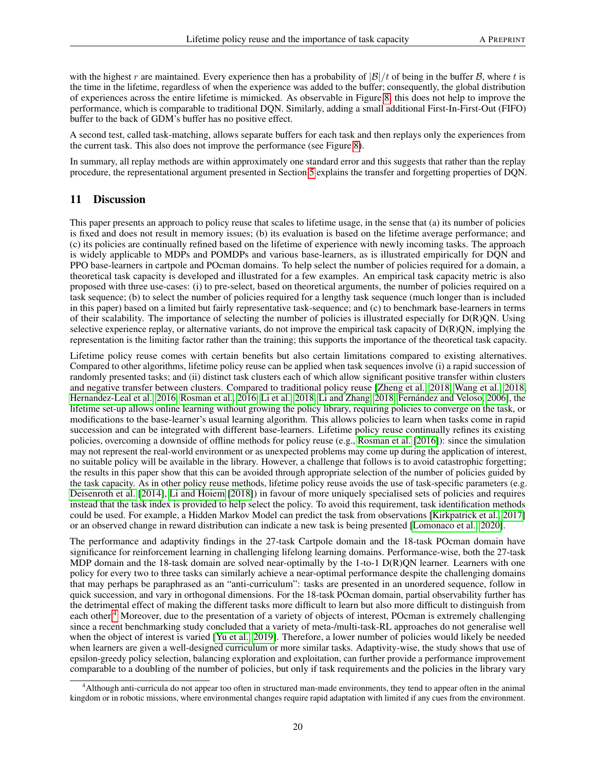with the highest r are maintained. Every experience then has a probability of  $|\mathcal{B}|/t$  of being in the buffer  $\mathcal{B}$ , where t is the time in the lifetime, regardless of when the experience was added to the buffer; consequently, the global distribution of experiences across the entire lifetime is mimicked. As observable in Figure [8,](#page-18-0) this does not help to improve the performance, which is comparable to traditional DQN. Similarly, adding a small additional First-In-First-Out (FIFO) buffer to the back of GDM's buffer has no positive effect.

A second test, called task-matching, allows separate buffers for each task and then replays only the experiences from the current task. This also does not improve the performance (see Figure [8\)](#page-18-0).

In summary, all replay methods are within approximately one standard error and this suggests that rather than the replay procedure, the representational argument presented in Section [5](#page-5-0) explains the transfer and forgetting properties of DQN.

# 11 Discussion

This paper presents an approach to policy reuse that scales to lifetime usage, in the sense that (a) its number of policies is fixed and does not result in memory issues; (b) its evaluation is based on the lifetime average performance; and (c) its policies are continually refined based on the lifetime of experience with newly incoming tasks. The approach is widely applicable to MDPs and POMDPs and various base-learners, as is illustrated empirically for DQN and PPO base-learners in cartpole and POcman domains. To help select the number of policies required for a domain, a theoretical task capacity is developed and illustrated for a few examples. An empirical task capacity metric is also proposed with three use-cases: (i) to pre-select, based on theoretical arguments, the number of policies required on a task sequence; (b) to select the number of policies required for a lengthy task sequence (much longer than is included in this paper) based on a limited but fairly representative task-sequence; and (c) to benchmark base-learners in terms of their scalability. The importance of selecting the number of policies is illustrated especially for D(R)QN. Using selective experience replay, or alternative variants, do not improve the empirical task capacity of D(R)QN, implying the representation is the limiting factor rather than the training; this supports the importance of the theoretical task capacity.

Lifetime policy reuse comes with certain benefits but also certain limitations compared to existing alternatives. Compared to other algorithms, lifetime policy reuse can be applied when task sequences involve (i) a rapid succession of randomly presented tasks; and (ii) distinct task clusters each of which allow significant positive transfer within clusters and negative transfer between clusters. Compared to traditional policy reuse [\[Zheng et al., 2018,](#page-23-18) [Wang et al., 2018,](#page-21-16) [Hernandez-Leal et al., 2016,](#page-22-1) [Rosman et al., 2016,](#page-21-19) [Li et al., 2018,](#page-21-17) [Li and Zhang, 2018,](#page-21-18) [Fernández and Veloso, 2006\]](#page-21-20), the lifetime set-up allows online learning without growing the policy library, requiring policies to converge on the task, or modifications to the base-learner's usual learning algorithm. This allows policies to learn when tasks come in rapid succession and can be integrated with different base-learners. Lifetime policy reuse continually refines its existing policies, overcoming a downside of offline methods for policy reuse (e.g., [Rosman et al.](#page-21-19) [\[2016\]](#page-21-19)): since the simulation may not represent the real-world environment or as unexpected problems may come up during the application of interest, no suitable policy will be available in the library. However, a challenge that follows is to avoid catastrophic forgetting; the results in this paper show that this can be avoided through appropriate selection of the number of policies guided by the task capacity. As in other policy reuse methods, lifetime policy reuse avoids the use of task-specific parameters (e.g. [Deisenroth et al.](#page-21-12) [\[2014\]](#page-21-12), [Li and Hoiem](#page-21-8) [\[2018\]](#page-21-8)) in favour of more uniquely specialised sets of policies and requires instead that the task index is provided to help select the policy. To avoid this requirement, task identification methods could be used. For example, a Hidden Markov Model can predict the task from observations [\[Kirkpatrick et al., 2017\]](#page-21-6) or an observed change in reward distribution can indicate a new task is being presented [\[Lomonaco et al., 2020\]](#page-23-19).

The performance and adaptivity findings in the 27-task Cartpole domain and the 18-task POcman domain have significance for reinforcement learning in challenging lifelong learning domains. Performance-wise, both the 27-task MDP domain and the 18-task domain are solved near-optimally by the 1-to-1  $D(R)QN$  learner. Learners with one policy for every two to three tasks can similarly achieve a near-optimal performance despite the challenging domains that may perhaps be paraphrased as an "anti-curriculum": tasks are presented in an unordered sequence, follow in quick succession, and vary in orthogonal dimensions. For the 18-task POcman domain, partial observability further has the detrimental effect of making the different tasks more difficult to learn but also more difficult to distinguish from each other.<sup>[4](#page-19-0)</sup> Moreover, due to the presentation of a variety of objects of interest, POcman is extremely challenging since a recent benchmarking study concluded that a variety of meta-/multi-task-RL approaches do not generalise well when the object of interest is varied [\[Yu et al., 2019\]](#page-23-20). Therefore, a lower number of policies would likely be needed when learners are given a well-designed curriculum or more similar tasks. Adaptivity-wise, the study shows that use of epsilon-greedy policy selection, balancing exploration and exploitation, can further provide a performance improvement comparable to a doubling of the number of policies, but only if task requirements and the policies in the library vary

<span id="page-19-0"></span><sup>4</sup>Although anti-curricula do not appear too often in structured man-made environments, they tend to appear often in the animal kingdom or in robotic missions, where environmental changes require rapid adaptation with limited if any cues from the environment.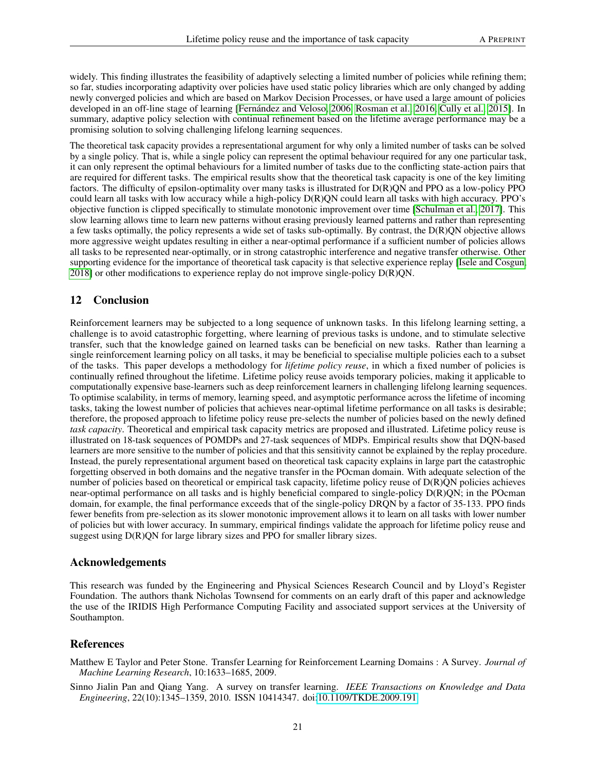widely. This finding illustrates the feasibility of adaptively selecting a limited number of policies while refining them; so far, studies incorporating adaptivity over policies have used static policy libraries which are only changed by adding newly converged policies and which are based on Markov Decision Processes, or have used a large amount of policies developed in an off-line stage of learning [\[Fernández and Veloso, 2006,](#page-21-20) [Rosman et al., 2016,](#page-21-19) [Cully et al., 2015\]](#page-24-0). In summary, adaptive policy selection with continual refinement based on the lifetime average performance may be a promising solution to solving challenging lifelong learning sequences.

The theoretical task capacity provides a representational argument for why only a limited number of tasks can be solved by a single policy. That is, while a single policy can represent the optimal behaviour required for any one particular task, it can only represent the optimal behaviours for a limited number of tasks due to the conflicting state-action pairs that are required for different tasks. The empirical results show that the theoretical task capacity is one of the key limiting factors. The difficulty of epsilon-optimality over many tasks is illustrated for D(R)QN and PPO as a low-policy PPO could learn all tasks with low accuracy while a high-policy D(R)QN could learn all tasks with high accuracy. PPO's objective function is clipped specifically to stimulate monotonic improvement over time [\[Schulman et al., 2017\]](#page-23-8). This slow learning allows time to learn new patterns without erasing previously learned patterns and rather than representing a few tasks optimally, the policy represents a wide set of tasks sub-optimally. By contrast, the D(R)QN objective allows more aggressive weight updates resulting in either a near-optimal performance if a sufficient number of policies allows all tasks to be represented near-optimally, or in strong catastrophic interference and negative transfer otherwise. Other supporting evidence for the importance of theoretical task capacity is that selective experience replay [\[Isele and Cosgun,](#page-21-10) [2018\]](#page-21-10) or other modifications to experience replay do not improve single-policy D(R)QN.

# 12 Conclusion

Reinforcement learners may be subjected to a long sequence of unknown tasks. In this lifelong learning setting, a challenge is to avoid catastrophic forgetting, where learning of previous tasks is undone, and to stimulate selective transfer, such that the knowledge gained on learned tasks can be beneficial on new tasks. Rather than learning a single reinforcement learning policy on all tasks, it may be beneficial to specialise multiple policies each to a subset of the tasks. This paper develops a methodology for *lifetime policy reuse*, in which a fixed number of policies is continually refined throughout the lifetime. Lifetime policy reuse avoids temporary policies, making it applicable to computationally expensive base-learners such as deep reinforcement learners in challenging lifelong learning sequences. To optimise scalability, in terms of memory, learning speed, and asymptotic performance across the lifetime of incoming tasks, taking the lowest number of policies that achieves near-optimal lifetime performance on all tasks is desirable; therefore, the proposed approach to lifetime policy reuse pre-selects the number of policies based on the newly defined *task capacity*. Theoretical and empirical task capacity metrics are proposed and illustrated. Lifetime policy reuse is illustrated on 18-task sequences of POMDPs and 27-task sequences of MDPs. Empirical results show that DQN-based learners are more sensitive to the number of policies and that this sensitivity cannot be explained by the replay procedure. Instead, the purely representational argument based on theoretical task capacity explains in large part the catastrophic forgetting observed in both domains and the negative transfer in the POcman domain. With adequate selection of the number of policies based on theoretical or empirical task capacity, lifetime policy reuse of D(R)QN policies achieves near-optimal performance on all tasks and is highly beneficial compared to single-policy D(R)QN; in the POcman domain, for example, the final performance exceeds that of the single-policy DRQN by a factor of 35-133. PPO finds fewer benefits from pre-selection as its slower monotonic improvement allows it to learn on all tasks with lower number of policies but with lower accuracy. In summary, empirical findings validate the approach for lifetime policy reuse and suggest using D(R)QN for large library sizes and PPO for smaller library sizes.

### Acknowledgements

This research was funded by the Engineering and Physical Sciences Research Council and by Lloyd's Register Foundation. The authors thank Nicholas Townsend for comments on an early draft of this paper and acknowledge the use of the IRIDIS High Performance Computing Facility and associated support services at the University of Southampton.

### References

<span id="page-20-0"></span>Matthew E Taylor and Peter Stone. Transfer Learning for Reinforcement Learning Domains : A Survey. *Journal of Machine Learning Research*, 10:1633–1685, 2009.

<span id="page-20-1"></span>Sinno Jialin Pan and Qiang Yang. A survey on transfer learning. *IEEE Transactions on Knowledge and Data Engineering*, 22(10):1345–1359, 2010. ISSN 10414347. doi[:10.1109/TKDE.2009.191.](https://doi.org/10.1109/TKDE.2009.191)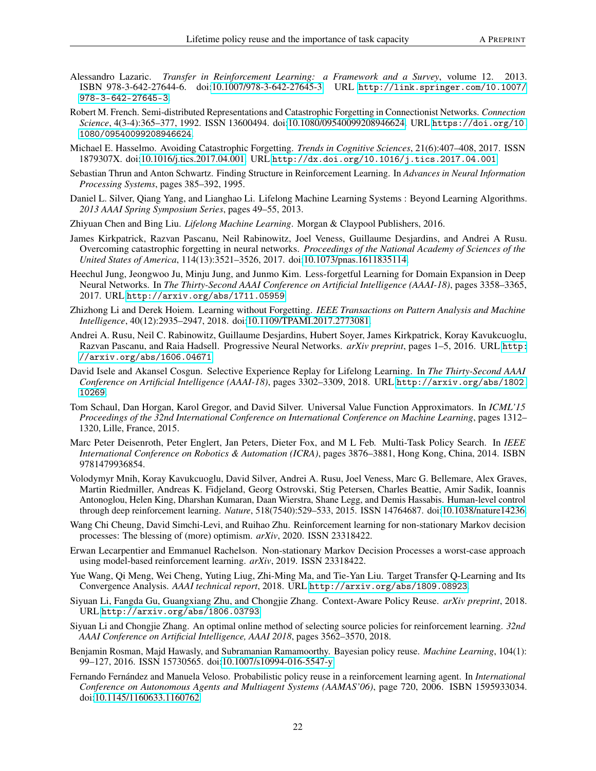- <span id="page-21-0"></span>Alessandro Lazaric. *Transfer in Reinforcement Learning: a Framework and a Survey*, volume 12. 2013. ISBN 978-3-642-27644-6. doi[:10.1007/978-3-642-27645-3.](https://doi.org/10.1007/978-3-642-27645-3) URL [http://link.springer.com/10.1007/](http://link.springer.com/10.1007/978-3-642-27645-3) [978-3-642-27645-3](http://link.springer.com/10.1007/978-3-642-27645-3).
- <span id="page-21-1"></span>Robert M. French. Semi-distributed Representations and Catastrophic Forgetting in Connectionist Networks. *Connection Science*, 4(3-4):365–377, 1992. ISSN 13600494. doi[:10.1080/09540099208946624.](https://doi.org/10.1080/09540099208946624) URL [https://doi.org/10.](https://doi.org/10.1080/09540099208946624) [1080/09540099208946624](https://doi.org/10.1080/09540099208946624).
- <span id="page-21-2"></span>Michael E. Hasselmo. Avoiding Catastrophic Forgetting. *Trends in Cognitive Sciences*, 21(6):407–408, 2017. ISSN 1879307X. doi[:10.1016/j.tics.2017.04.001.](https://doi.org/10.1016/j.tics.2017.04.001) URL <http://dx.doi.org/10.1016/j.tics.2017.04.001>.
- <span id="page-21-3"></span>Sebastian Thrun and Anton Schwartz. Finding Structure in Reinforcement Learning. In *Advances in Neural Information Processing Systems*, pages 385–392, 1995.
- <span id="page-21-4"></span>Daniel L. Silver, Qiang Yang, and Lianghao Li. Lifelong Machine Learning Systems : Beyond Learning Algorithms. *2013 AAAI Spring Symposium Series*, pages 49–55, 2013.
- <span id="page-21-5"></span>Zhiyuan Chen and Bing Liu. *Lifelong Machine Learning*. Morgan & Claypool Publishers, 2016.
- <span id="page-21-6"></span>James Kirkpatrick, Razvan Pascanu, Neil Rabinowitz, Joel Veness, Guillaume Desjardins, and Andrei A Rusu. Overcoming catastrophic forgetting in neural networks. *Proceedings of the National Academy of Sciences of the United States of America*, 114(13):3521–3526, 2017. doi[:10.1073/pnas.1611835114.](https://doi.org/10.1073/pnas.1611835114)
- <span id="page-21-7"></span>Heechul Jung, Jeongwoo Ju, Minju Jung, and Junmo Kim. Less-forgetful Learning for Domain Expansion in Deep Neural Networks. In *The Thirty-Second AAAI Conference on Artificial Intelligence (AAAI-18)*, pages 3358–3365, 2017. URL <http://arxiv.org/abs/1711.05959>.
- <span id="page-21-8"></span>Zhizhong Li and Derek Hoiem. Learning without Forgetting. *IEEE Transactions on Pattern Analysis and Machine Intelligence*, 40(12):2935–2947, 2018. doi[:10.1109/TPAMI.2017.2773081.](https://doi.org/10.1109/TPAMI.2017.2773081)
- <span id="page-21-9"></span>Andrei A. Rusu, Neil C. Rabinowitz, Guillaume Desjardins, Hubert Soyer, James Kirkpatrick, Koray Kavukcuoglu, Razvan Pascanu, and Raia Hadsell. Progressive Neural Networks. *arXiv preprint*, pages 1–5, 2016. URL [http:](http://arxiv.org/abs/1606.04671) [//arxiv.org/abs/1606.04671](http://arxiv.org/abs/1606.04671).
- <span id="page-21-10"></span>David Isele and Akansel Cosgun. Selective Experience Replay for Lifelong Learning. In *The Thirty-Second AAAI Conference on Artificial Intelligence (AAAI-18)*, pages 3302–3309, 2018. URL [http://arxiv.org/abs/1802.](http://arxiv.org/abs/1802.10269) [10269](http://arxiv.org/abs/1802.10269).
- <span id="page-21-11"></span>Tom Schaul, Dan Horgan, Karol Gregor, and David Silver. Universal Value Function Approximators. In *ICML'15 Proceedings of the 32nd International Conference on International Conference on Machine Learning*, pages 1312– 1320, Lille, France, 2015.
- <span id="page-21-12"></span>Marc Peter Deisenroth, Peter Englert, Jan Peters, Dieter Fox, and M L Feb. Multi-Task Policy Search. In *IEEE International Conference on Robotics & Automation (ICRA)*, pages 3876–3881, Hong Kong, China, 2014. ISBN 9781479936854.
- <span id="page-21-13"></span>Volodymyr Mnih, Koray Kavukcuoglu, David Silver, Andrei A. Rusu, Joel Veness, Marc G. Bellemare, Alex Graves, Martin Riedmiller, Andreas K. Fidjeland, Georg Ostrovski, Stig Petersen, Charles Beattie, Amir Sadik, Ioannis Antonoglou, Helen King, Dharshan Kumaran, Daan Wierstra, Shane Legg, and Demis Hassabis. Human-level control through deep reinforcement learning. *Nature*, 518(7540):529–533, 2015. ISSN 14764687. doi[:10.1038/nature14236.](https://doi.org/10.1038/nature14236)
- <span id="page-21-14"></span>Wang Chi Cheung, David Simchi-Levi, and Ruihao Zhu. Reinforcement learning for non-stationary Markov decision processes: The blessing of (more) optimism. *arXiv*, 2020. ISSN 23318422.
- <span id="page-21-15"></span>Erwan Lecarpentier and Emmanuel Rachelson. Non-stationary Markov Decision Processes a worst-case approach using model-based reinforcement learning. *arXiv*, 2019. ISSN 23318422.
- <span id="page-21-16"></span>Yue Wang, Qi Meng, Wei Cheng, Yuting Liug, Zhi-Ming Ma, and Tie-Yan Liu. Target Transfer Q-Learning and Its Convergence Analysis. *AAAI technical report*, 2018. URL <http://arxiv.org/abs/1809.08923>.
- <span id="page-21-17"></span>Siyuan Li, Fangda Gu, Guangxiang Zhu, and Chongjie Zhang. Context-Aware Policy Reuse. *arXiv preprint*, 2018. URL <http://arxiv.org/abs/1806.03793>.
- <span id="page-21-18"></span>Siyuan Li and Chongjie Zhang. An optimal online method of selecting source policies for reinforcement learning. *32nd AAAI Conference on Artificial Intelligence, AAAI 2018*, pages 3562–3570, 2018.
- <span id="page-21-19"></span>Benjamin Rosman, Majd Hawasly, and Subramanian Ramamoorthy. Bayesian policy reuse. *Machine Learning*, 104(1): 99–127, 2016. ISSN 15730565. doi[:10.1007/s10994-016-5547-y.](https://doi.org/10.1007/s10994-016-5547-y)
- <span id="page-21-20"></span>Fernando Fernández and Manuela Veloso. Probabilistic policy reuse in a reinforcement learning agent. In *International Conference on Autonomous Agents and Multiagent Systems (AAMAS'06)*, page 720, 2006. ISBN 1595933034. doi[:10.1145/1160633.1160762.](https://doi.org/10.1145/1160633.1160762)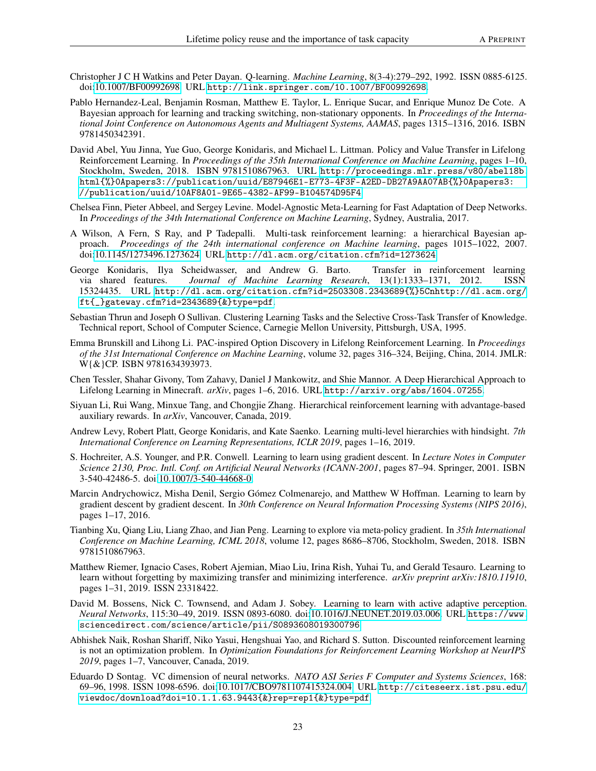- <span id="page-22-0"></span>Christopher J C H Watkins and Peter Dayan. Q-learning. *Machine Learning*, 8(3-4):279–292, 1992. ISSN 0885-6125. doi[:10.1007/BF00992698.](https://doi.org/10.1007/BF00992698) URL <http://link.springer.com/10.1007/BF00992698>.
- <span id="page-22-1"></span>Pablo Hernandez-Leal, Benjamin Rosman, Matthew E. Taylor, L. Enrique Sucar, and Enrique Munoz De Cote. A Bayesian approach for learning and tracking switching, non-stationary opponents. In *Proceedings of the International Joint Conference on Autonomous Agents and Multiagent Systems, AAMAS*, pages 1315–1316, 2016. ISBN 9781450342391.
- <span id="page-22-2"></span>David Abel, Yuu Jinna, Yue Guo, George Konidaris, and Michael L. Littman. Policy and Value Transfer in Lifelong Reinforcement Learning. In *Proceedings of the 35th International Conference on Machine Learning*, pages 1–10, Stockholm, Sweden, 2018. ISBN 9781510867963. URL [http://proceedings.mlr.press/v80/abel18b.](http://proceedings.mlr.press/v80/abel18b.html{%}0Apapers3://publication/uuid/E87946E1-E773-4F3F-A2ED-DB27A9AA07AB{%}0Apapers3://publication/uuid/10AF8A01-9E65-4382-AF99-B104574D95F4) [html{%}0Apapers3://publication/uuid/E87946E1-E773-4F3F-A2ED-DB27A9AA07AB{%}0Apapers3:](http://proceedings.mlr.press/v80/abel18b.html{%}0Apapers3://publication/uuid/E87946E1-E773-4F3F-A2ED-DB27A9AA07AB{%}0Apapers3://publication/uuid/10AF8A01-9E65-4382-AF99-B104574D95F4) [//publication/uuid/10AF8A01-9E65-4382-AF99-B104574D95F4](http://proceedings.mlr.press/v80/abel18b.html{%}0Apapers3://publication/uuid/E87946E1-E773-4F3F-A2ED-DB27A9AA07AB{%}0Apapers3://publication/uuid/10AF8A01-9E65-4382-AF99-B104574D95F4).
- <span id="page-22-3"></span>Chelsea Finn, Pieter Abbeel, and Sergey Levine. Model-Agnostic Meta-Learning for Fast Adaptation of Deep Networks. In *Proceedings of the 34th International Conference on Machine Learning*, Sydney, Australia, 2017.
- <span id="page-22-4"></span>A Wilson, A Fern, S Ray, and P Tadepalli. Multi-task reinforcement learning: a hierarchical Bayesian approach. *Proceedings of the 24th international conference on Machine learning*, pages 1015–1022, 2007. doi[:10.1145/1273496.1273624.](https://doi.org/10.1145/1273496.1273624) URL <http://dl.acm.org/citation.cfm?id=1273624>.
- <span id="page-22-5"></span>George Konidaris, Ilya Scheidwasser, and Andrew G. Barto. Transfer in reinforcement learning via shared features. *Journal of Machine Learning Research*, 13(1):1333–1371, 2012. ISSN 15324435. URL [http://dl.acm.org/citation.cfm?id=2503308.2343689{%}5Cnhttp://dl.acm.org/](http://dl.acm.org/citation.cfm?id=2503308.2343689{%}5Cnhttp://dl.acm.org/ft{_}gateway.cfm?id=2343689{&}type=pdf) [ft{\\_}gateway.cfm?id=2343689{&}type=pdf](http://dl.acm.org/citation.cfm?id=2503308.2343689{%}5Cnhttp://dl.acm.org/ft{_}gateway.cfm?id=2343689{&}type=pdf).
- <span id="page-22-6"></span>Sebastian Thrun and Joseph O Sullivan. Clustering Learning Tasks and the Selective Cross-Task Transfer of Knowledge. Technical report, School of Computer Science, Carnegie Mellon University, Pittsburgh, USA, 1995.
- <span id="page-22-7"></span>Emma Brunskill and Lihong Li. PAC-inspired Option Discovery in Lifelong Reinforcement Learning. In *Proceedings of the 31st International Conference on Machine Learning*, volume 32, pages 316–324, Beijing, China, 2014. JMLR: W{&}CP. ISBN 9781634393973.
- <span id="page-22-8"></span>Chen Tessler, Shahar Givony, Tom Zahavy, Daniel J Mankowitz, and Shie Mannor. A Deep Hierarchical Approach to Lifelong Learning in Minecraft. *arXiv*, pages 1–6, 2016. URL <http://arxiv.org/abs/1604.07255>.
- <span id="page-22-9"></span>Siyuan Li, Rui Wang, Minxue Tang, and Chongjie Zhang. Hierarchical reinforcement learning with advantage-based auxiliary rewards. In *arXiv*, Vancouver, Canada, 2019.
- <span id="page-22-10"></span>Andrew Levy, Robert Platt, George Konidaris, and Kate Saenko. Learning multi-level hierarchies with hindsight. *7th International Conference on Learning Representations, ICLR 2019*, pages 1–16, 2019.
- <span id="page-22-11"></span>S. Hochreiter, A.S. Younger, and P.R. Conwell. Learning to learn using gradient descent. In *Lecture Notes in Computer Science 2130, Proc. Intl. Conf. on Artificial Neural Networks (ICANN-2001*, pages 87–94. Springer, 2001. ISBN 3-540-42486-5. doi[:10.1007/3-540-44668-0.](https://doi.org/10.1007/3-540-44668-0)
- <span id="page-22-12"></span>Marcin Andrychowicz, Misha Denil, Sergio Gómez Colmenarejo, and Matthew W Hoffman. Learning to learn by gradient descent by gradient descent. In *30th Conference on Neural Information Processing Systems (NIPS 2016)*, pages 1–17, 2016.
- <span id="page-22-13"></span>Tianbing Xu, Qiang Liu, Liang Zhao, and Jian Peng. Learning to explore via meta-policy gradient. In *35th International Conference on Machine Learning, ICML 2018*, volume 12, pages 8686–8706, Stockholm, Sweden, 2018. ISBN 9781510867963.
- <span id="page-22-14"></span>Matthew Riemer, Ignacio Cases, Robert Ajemian, Miao Liu, Irina Rish, Yuhai Tu, and Gerald Tesauro. Learning to learn without forgetting by maximizing transfer and minimizing interference. *arXiv preprint arXiv:1810.11910*, pages 1–31, 2019. ISSN 23318422.
- <span id="page-22-15"></span>David M. Bossens, Nick C. Townsend, and Adam J. Sobey. Learning to learn with active adaptive perception. *Neural Networks*, 115:30–49, 2019. ISSN 0893-6080. doi[:10.1016/J.NEUNET.2019.03.006.](https://doi.org/10.1016/J.NEUNET.2019.03.006) URL [https://www.](https://www.sciencedirect.com/science/article/pii/S0893608019300796) [sciencedirect.com/science/article/pii/S0893608019300796](https://www.sciencedirect.com/science/article/pii/S0893608019300796).
- <span id="page-22-16"></span>Abhishek Naik, Roshan Shariff, Niko Yasui, Hengshuai Yao, and Richard S. Sutton. Discounted reinforcement learning is not an optimization problem. In *Optimization Foundations for Reinforcement Learning Workshop at NeurIPS 2019*, pages 1–7, Vancouver, Canada, 2019.
- <span id="page-22-17"></span>Eduardo D Sontag. VC dimension of neural networks. *NATO ASI Series F Computer and Systems Sciences*, 168: 69–96, 1998. ISSN 1098-6596. doi[:10.1017/CBO9781107415324.004.](https://doi.org/10.1017/CBO9781107415324.004) URL [http://citeseerx.ist.psu.edu/](http://citeseerx.ist.psu.edu/viewdoc/download?doi=10.1.1.63.9443{&}rep=rep1{&}type=pdf) [viewdoc/download?doi=10.1.1.63.9443{&}rep=rep1{&}type=pdf](http://citeseerx.ist.psu.edu/viewdoc/download?doi=10.1.1.63.9443{&}rep=rep1{&}type=pdf).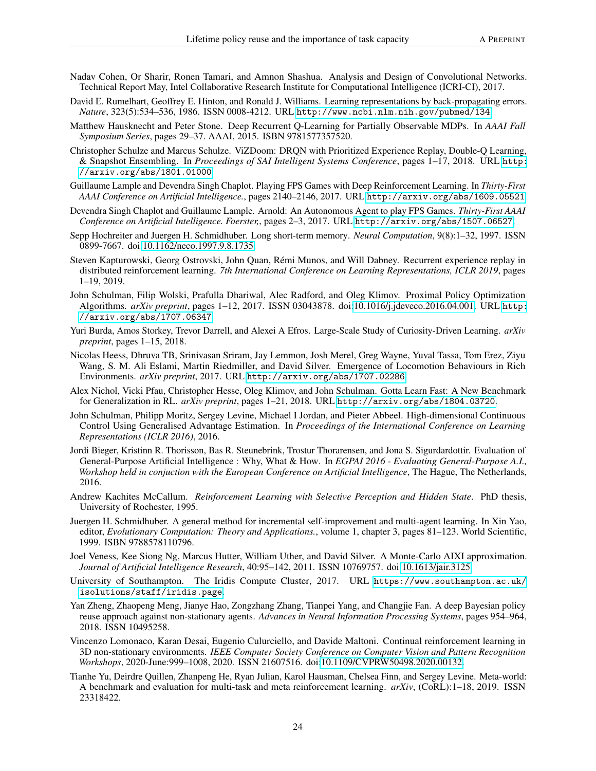- <span id="page-23-0"></span>Nadav Cohen, Or Sharir, Ronen Tamari, and Amnon Shashua. Analysis and Design of Convolutional Networks. Technical Report May, Intel Collaborative Research Institute for Computational Intelligence (ICRI-CI), 2017.
- <span id="page-23-1"></span>David E. Rumelhart, Geoffrey E. Hinton, and Ronald J. Williams. Learning representations by back-propagating errors. *Nature*, 323(5):534–536, 1986. ISSN 0008-4212. URL <http://www.ncbi.nlm.nih.gov/pubmed/134>.
- <span id="page-23-2"></span>Matthew Hausknecht and Peter Stone. Deep Recurrent Q-Learning for Partially Observable MDPs. In *AAAI Fall Symposium Series*, pages 29–37. AAAI, 2015. ISBN 9781577357520.
- <span id="page-23-3"></span>Christopher Schulze and Marcus Schulze. ViZDoom: DRQN with Prioritized Experience Replay, Double-Q Learning, & Snapshot Ensembling. In *Proceedings of SAI Intelligent Systems Conference*, pages 1–17, 2018. URL [http:](http://arxiv.org/abs/1801.01000) [//arxiv.org/abs/1801.01000](http://arxiv.org/abs/1801.01000).
- <span id="page-23-4"></span>Guillaume Lample and Devendra Singh Chaplot. Playing FPS Games with Deep Reinforcement Learning. In *Thirty-First AAAI Conference on Artificial Intelligence.*, pages 2140–2146, 2017. URL <http://arxiv.org/abs/1609.05521>.
- <span id="page-23-5"></span>Devendra Singh Chaplot and Guillaume Lample. Arnold: An Autonomous Agent to play FPS Games. *Thirty-First AAAI Conference on Artificial Intelligence. Foerster,*, pages 2–3, 2017. URL <http://arxiv.org/abs/1507.06527>.
- <span id="page-23-6"></span>Sepp Hochreiter and Juergen H. Schmidhuber. Long short-term memory. *Neural Computation*, 9(8):1–32, 1997. ISSN 0899-7667. doi[:10.1162/neco.1997.9.8.1735.](https://doi.org/10.1162/neco.1997.9.8.1735)
- <span id="page-23-7"></span>Steven Kapturowski, Georg Ostrovski, John Quan, Rémi Munos, and Will Dabney. Recurrent experience replay in distributed reinforcement learning. *7th International Conference on Learning Representations, ICLR 2019*, pages 1–19, 2019.
- <span id="page-23-8"></span>John Schulman, Filip Wolski, Prafulla Dhariwal, Alec Radford, and Oleg Klimov. Proximal Policy Optimization Algorithms. *arXiv preprint*, pages 1–12, 2017. ISSN 03043878. doi[:10.1016/j.jdeveco.2016.04.001.](https://doi.org/10.1016/j.jdeveco.2016.04.001) URL [http:](http://arxiv.org/abs/1707.06347) [//arxiv.org/abs/1707.06347](http://arxiv.org/abs/1707.06347).
- <span id="page-23-9"></span>Yuri Burda, Amos Storkey, Trevor Darrell, and Alexei A Efros. Large-Scale Study of Curiosity-Driven Learning. *arXiv preprint*, pages 1–15, 2018.
- <span id="page-23-10"></span>Nicolas Heess, Dhruva TB, Srinivasan Sriram, Jay Lemmon, Josh Merel, Greg Wayne, Yuval Tassa, Tom Erez, Ziyu Wang, S. M. Ali Eslami, Martin Riedmiller, and David Silver. Emergence of Locomotion Behaviours in Rich Environments. *arXiv preprint*, 2017. URL <http://arxiv.org/abs/1707.02286>.
- <span id="page-23-11"></span>Alex Nichol, Vicki Pfau, Christopher Hesse, Oleg Klimov, and John Schulman. Gotta Learn Fast: A New Benchmark for Generalization in RL. *arXiv preprint*, pages 1–21, 2018. URL <http://arxiv.org/abs/1804.03720>.
- <span id="page-23-12"></span>John Schulman, Philipp Moritz, Sergey Levine, Michael I Jordan, and Pieter Abbeel. High-dimensional Continuous Control Using Generalised Advantage Estimation. In *Proceedings of the International Conference on Learning Representations (ICLR 2016)*, 2016.
- <span id="page-23-13"></span>Jordi Bieger, Kristinn R. Thorisson, Bas R. Steunebrink, Trostur Thorarensen, and Jona S. Sigurdardottir. Evaluation of General-Purpose Artificial Intelligence : Why, What & How. In *EGPAI 2016 - Evaluating General-Purpose A.I., Workshop held in conjuction with the European Conference on Artificial Intelligence*, The Hague, The Netherlands, 2016.
- <span id="page-23-14"></span>Andrew Kachites McCallum. *Reinforcement Learning with Selective Perception and Hidden State*. PhD thesis, University of Rochester, 1995.
- <span id="page-23-15"></span>Juergen H. Schmidhuber. A general method for incremental self-improvement and multi-agent learning. In Xin Yao, editor, *Evolutionary Computation: Theory and Applications.*, volume 1, chapter 3, pages 81–123. World Scientific, 1999. ISBN 9788578110796.
- <span id="page-23-16"></span>Joel Veness, Kee Siong Ng, Marcus Hutter, William Uther, and David Silver. A Monte-Carlo AIXI approximation. *Journal of Artificial Intelligence Research*, 40:95–142, 2011. ISSN 10769757. doi[:10.1613/jair.3125.](https://doi.org/10.1613/jair.3125)
- <span id="page-23-17"></span>University of Southampton. The Iridis Compute Cluster, 2017. URL [https://www.southampton.ac.uk/](https://www.southampton.ac.uk/isolutions/staff/iridis.page) [isolutions/staff/iridis.page](https://www.southampton.ac.uk/isolutions/staff/iridis.page).
- <span id="page-23-18"></span>Yan Zheng, Zhaopeng Meng, Jianye Hao, Zongzhang Zhang, Tianpei Yang, and Changjie Fan. A deep Bayesian policy reuse approach against non-stationary agents. *Advances in Neural Information Processing Systems*, pages 954–964, 2018. ISSN 10495258.
- <span id="page-23-19"></span>Vincenzo Lomonaco, Karan Desai, Eugenio Culurciello, and Davide Maltoni. Continual reinforcement learning in 3D non-stationary environments. *IEEE Computer Society Conference on Computer Vision and Pattern Recognition Workshops*, 2020-June:999–1008, 2020. ISSN 21607516. doi[:10.1109/CVPRW50498.2020.00132.](https://doi.org/10.1109/CVPRW50498.2020.00132)
- <span id="page-23-20"></span>Tianhe Yu, Deirdre Quillen, Zhanpeng He, Ryan Julian, Karol Hausman, Chelsea Finn, and Sergey Levine. Meta-world: A benchmark and evaluation for multi-task and meta reinforcement learning. *arXiv*, (CoRL):1–18, 2019. ISSN 23318422.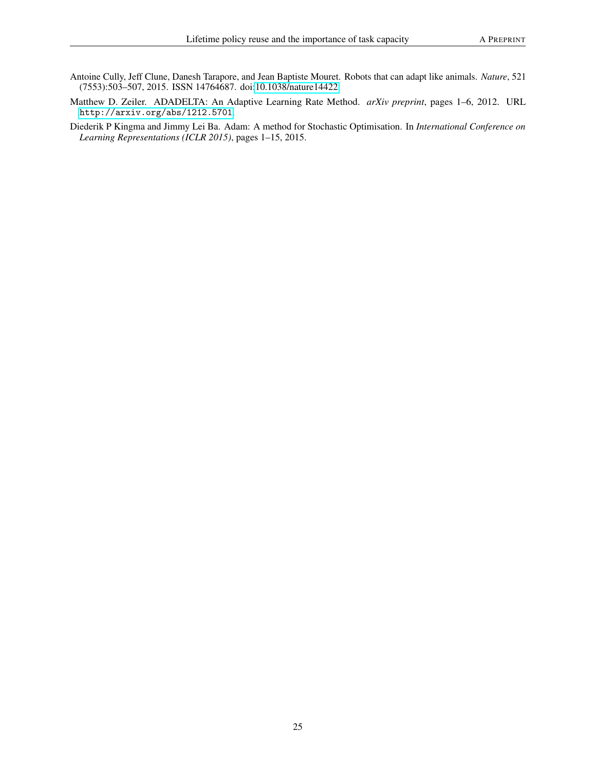- <span id="page-24-0"></span>Antoine Cully, Jeff Clune, Danesh Tarapore, and Jean Baptiste Mouret. Robots that can adapt like animals. *Nature*, 521 (7553):503–507, 2015. ISSN 14764687. doi[:10.1038/nature14422.](https://doi.org/10.1038/nature14422)
- <span id="page-24-1"></span>Matthew D. Zeiler. ADADELTA: An Adaptive Learning Rate Method. *arXiv preprint*, pages 1–6, 2012. URL <http://arxiv.org/abs/1212.5701>.
- <span id="page-24-2"></span>Diederik P Kingma and Jimmy Lei Ba. Adam: A method for Stochastic Optimisation. In *International Conference on Learning Representations (ICLR 2015)*, pages 1–15, 2015.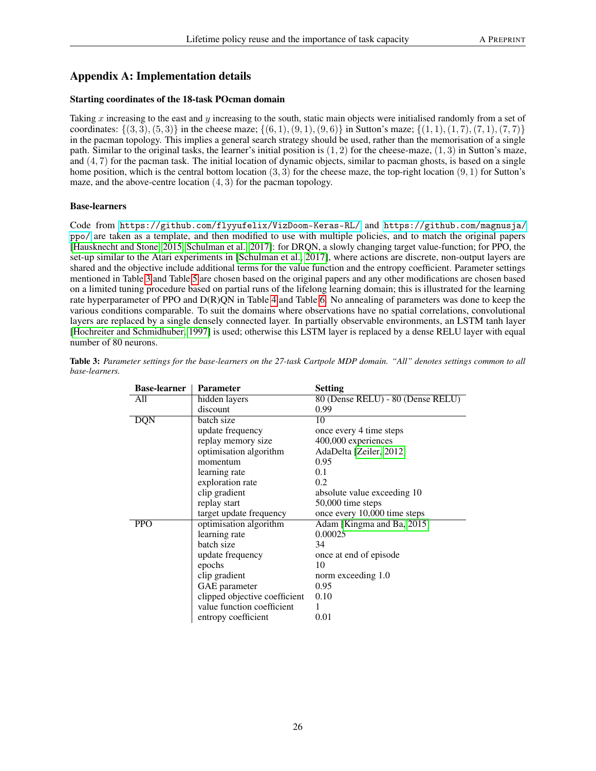# Appendix A: Implementation details

### Starting coordinates of the 18-task POcman domain

Taking  $x$  increasing to the east and  $y$  increasing to the south, static main objects were initialised randomly from a set of coordinates:  $\{(3, 3), (5, 3)\}$  in the cheese maze;  $\{(6, 1), (9, 1), (9, 6)\}$  in Sutton's maze;  $\{(1, 1), (1, 7), (7, 1), (7, 7)\}$ in the pacman topology. This implies a general search strategy should be used, rather than the memorisation of a single path. Similar to the original tasks, the learner's initial position is  $(1, 2)$  for the cheese-maze,  $(1, 3)$  in Sutton's maze, and  $(4, 7)$  for the pacman task. The initial location of dynamic objects, similar to pacman ghosts, is based on a single home position, which is the central bottom location  $(3, 3)$  for the cheese maze, the top-right location  $(9, 1)$  for Sutton's maze, and the above-centre location  $(4, 3)$  for the pacman topology.

#### Base-learners

Code from <https://github.com/flyyufelix/VizDoom-Keras-RL/> and [https://github.com/magnusja/](https://github.com/magnusja/ppo/) [ppo/](https://github.com/magnusja/ppo/) are taken as a template, and then modified to use with multiple policies, and to match the original papers [\[Hausknecht and Stone, 2015,](#page-23-2) [Schulman et al., 2017\]](#page-23-8): for DRQN, a slowly changing target value-function; for PPO, the set-up similar to the Atari experiments in [\[Schulman et al., 2017\]](#page-23-8), where actions are discrete, non-output layers are shared and the objective include additional terms for the value function and the entropy coefficient. Parameter settings mentioned in Table [3](#page-25-0) and Table [5](#page-26-0) are chosen based on the original papers and any other modifications are chosen based on a limited tuning procedure based on partial runs of the lifelong learning domain; this is illustrated for the learning rate hyperparameter of PPO and D(R)QN in Table [4](#page-26-1) and Table [6.](#page-26-2) No annealing of parameters was done to keep the various conditions comparable. To suit the domains where observations have no spatial correlations, convolutional layers are replaced by a single densely connected layer. In partially observable environments, an LSTM tanh layer [\[Hochreiter and Schmidhuber, 1997\]](#page-23-6) is used; otherwise this LSTM layer is replaced by a dense RELU layer with equal number of 80 neurons.

| <b>Base-learner</b> | <b>Parameter</b>              | <b>Setting</b>                    |  |
|---------------------|-------------------------------|-----------------------------------|--|
| All                 | hidden layers                 | 80 (Dense RELU) - 80 (Dense RELU) |  |
|                     | discount                      | 0.99                              |  |
| <b>DQN</b>          | batch size                    | 10                                |  |
|                     | update frequency              | once every 4 time steps           |  |
|                     | replay memory size            | 400,000 experiences               |  |
|                     | optimisation algorithm        | AdaDelta [Zeiler, 2012]           |  |
|                     | momentum                      | 0.95                              |  |
|                     | learning rate                 | 0.1                               |  |
|                     | exploration rate              | 0.2                               |  |
|                     | clip gradient                 | absolute value exceeding 10       |  |
|                     | replay start                  | 50,000 time steps                 |  |
|                     | target update frequency       | once every 10,000 time steps      |  |
| <b>PPO</b>          | optimisation algorithm        | Adam [Kingma and Ba, 2015]        |  |
|                     | learning rate                 | 0.00025                           |  |
|                     | batch size                    | 34                                |  |
|                     | update frequency              | once at end of episode            |  |
|                     | epochs                        | 10                                |  |
|                     | clip gradient                 | norm exceeding 1.0                |  |
|                     | GAE parameter                 | 0.95                              |  |
|                     | clipped objective coefficient | 0.10                              |  |
|                     | value function coefficient    |                                   |  |
|                     | entropy coefficient           | 0.01                              |  |
|                     |                               |                                   |  |

<span id="page-25-0"></span>Table 3: *Parameter settings for the base-learners on the 27-task Cartpole MDP domain. "All" denotes settings common to all base-learners.*